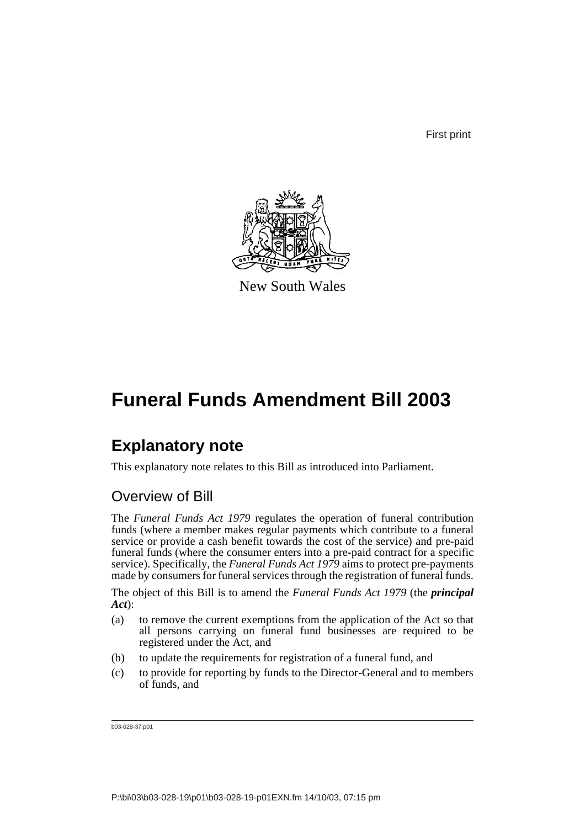First print



New South Wales

# **Funeral Funds Amendment Bill 2003**

# **Explanatory note**

This explanatory note relates to this Bill as introduced into Parliament.

## Overview of Bill

The *Funeral Funds Act 1979* regulates the operation of funeral contribution funds (where a member makes regular payments which contribute to a funeral service or provide a cash benefit towards the cost of the service) and pre-paid funeral funds (where the consumer enters into a pre-paid contract for a specific service). Specifically, the *Funeral Funds Act 1979* aims to protect pre-payments made by consumers for funeral services through the registration of funeral funds.

The object of this Bill is to amend the *Funeral Funds Act 1979* (the *principal Act*):

- (a) to remove the current exemptions from the application of the Act so that all persons carrying on funeral fund businesses are required to be registered under the Act, and
- (b) to update the requirements for registration of a funeral fund, and
- (c) to provide for reporting by funds to the Director-General and to members of funds, and

b03-028-37.p01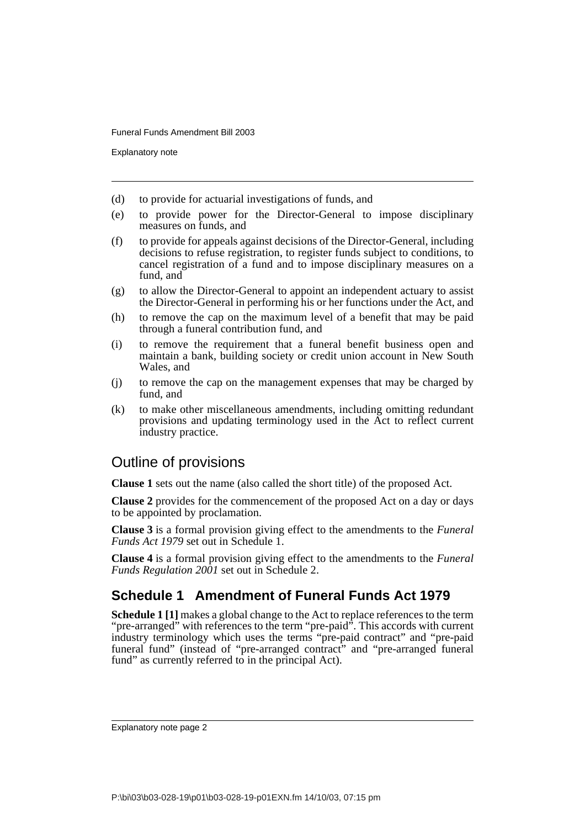Explanatory note

- (d) to provide for actuarial investigations of funds, and
- (e) to provide power for the Director-General to impose disciplinary measures on funds, and
- (f) to provide for appeals against decisions of the Director-General, including decisions to refuse registration, to register funds subject to conditions, to cancel registration of a fund and to impose disciplinary measures on a fund, and
- (g) to allow the Director-General to appoint an independent actuary to assist the Director-General in performing his or her functions under the Act, and
- (h) to remove the cap on the maximum level of a benefit that may be paid through a funeral contribution fund, and
- (i) to remove the requirement that a funeral benefit business open and maintain a bank, building society or credit union account in New South Wales, and
- (j) to remove the cap on the management expenses that may be charged by fund, and
- (k) to make other miscellaneous amendments, including omitting redundant provisions and updating terminology used in the Act to reflect current industry practice.

## Outline of provisions

**Clause 1** sets out the name (also called the short title) of the proposed Act.

**Clause 2** provides for the commencement of the proposed Act on a day or days to be appointed by proclamation.

**Clause 3** is a formal provision giving effect to the amendments to the *Funeral Funds Act 1979* set out in Schedule 1.

**Clause 4** is a formal provision giving effect to the amendments to the *Funeral Funds Regulation 2001* set out in Schedule 2.

## **Schedule 1 Amendment of Funeral Funds Act 1979**

**Schedule 1 [1]** makes a global change to the Act to replace references to the term "pre-arranged" with references to the term "pre-paid". This accords with current industry terminology which uses the terms "pre-paid contract" and "pre-paid funeral fund" (instead of "pre-arranged contract" and "pre-arranged funeral fund" as currently referred to in the principal Act).

Explanatory note page 2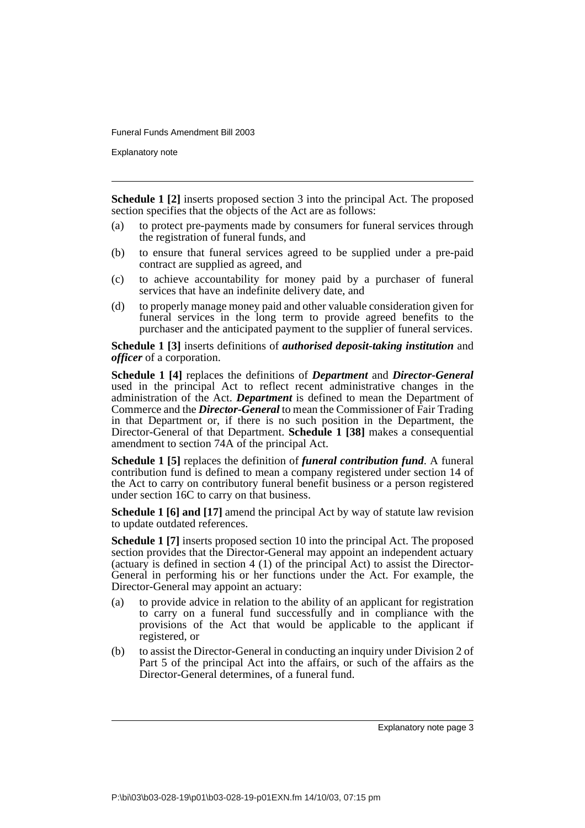Explanatory note

**Schedule 1 [2]** inserts proposed section 3 into the principal Act. The proposed section specifies that the objects of the Act are as follows:

- (a) to protect pre-payments made by consumers for funeral services through the registration of funeral funds, and
- (b) to ensure that funeral services agreed to be supplied under a pre-paid contract are supplied as agreed, and
- (c) to achieve accountability for money paid by a purchaser of funeral services that have an indefinite delivery date, and
- (d) to properly manage money paid and other valuable consideration given for funeral services in the long term to provide agreed benefits to the purchaser and the anticipated payment to the supplier of funeral services.

**Schedule 1 [3]** inserts definitions of *authorised deposit-taking institution* and *officer* of a corporation.

**Schedule 1 [4]** replaces the definitions of *Department* and *Director-General* used in the principal Act to reflect recent administrative changes in the administration of the Act. *Department* is defined to mean the Department of Commerce and the *Director-General* to mean the Commissioner of Fair Trading in that Department or, if there is no such position in the Department, the Director-General of that Department. **Schedule 1 [38]** makes a consequential amendment to section 74A of the principal Act.

**Schedule 1 [5]** replaces the definition of *funeral contribution fund*. A funeral contribution fund is defined to mean a company registered under section 14 of the Act to carry on contributory funeral benefit business or a person registered under section 16C to carry on that business.

**Schedule 1 [6] and [17]** amend the principal Act by way of statute law revision to update outdated references.

**Schedule 1 [7]** inserts proposed section 10 into the principal Act. The proposed section provides that the Director-General may appoint an independent actuary (actuary is defined in section 4 (1) of the principal Act) to assist the Director-General in performing his or her functions under the Act. For example, the Director-General may appoint an actuary:

- (a) to provide advice in relation to the ability of an applicant for registration to carry on a funeral fund successfully and in compliance with the provisions of the Act that would be applicable to the applicant if registered, or
- (b) to assist the Director-General in conducting an inquiry under Division 2 of Part 5 of the principal Act into the affairs, or such of the affairs as the Director-General determines, of a funeral fund.

Explanatory note page 3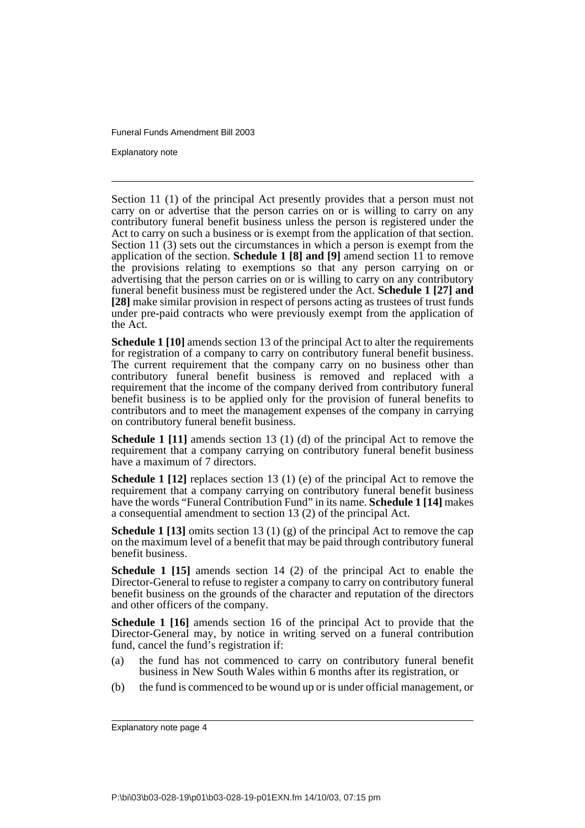Explanatory note

Section 11 (1) of the principal Act presently provides that a person must not carry on or advertise that the person carries on or is willing to carry on any contributory funeral benefit business unless the person is registered under the Act to carry on such a business or is exempt from the application of that section. Section 11 (3) sets out the circumstances in which a person is exempt from the application of the section. **Schedule 1 [8] and [9]** amend section 11 to remove the provisions relating to exemptions so that any person carrying on or advertising that the person carries on or is willing to carry on any contributory funeral benefit business must be registered under the Act. **Schedule 1 [27] and [28]** make similar provision in respect of persons acting as trustees of trust funds under pre-paid contracts who were previously exempt from the application of the Act.

**Schedule 1 [10]** amends section 13 of the principal Act to alter the requirements for registration of a company to carry on contributory funeral benefit business. The current requirement that the company carry on no business other than contributory funeral benefit business is removed and replaced with a requirement that the income of the company derived from contributory funeral benefit business is to be applied only for the provision of funeral benefits to contributors and to meet the management expenses of the company in carrying on contributory funeral benefit business.

**Schedule 1** [11] amends section 13 (1) (d) of the principal Act to remove the requirement that a company carrying on contributory funeral benefit business have a maximum of 7 directors.

**Schedule 1 [12]** replaces section 13 (1) (e) of the principal Act to remove the requirement that a company carrying on contributory funeral benefit business have the words "Funeral Contribution Fund" in its name. **Schedule 1 [14]** makes a consequential amendment to section 13 (2) of the principal Act.

**Schedule 1 [13]** omits section 13 (1) (g) of the principal Act to remove the cap on the maximum level of a benefit that may be paid through contributory funeral benefit business.

**Schedule 1 [15]** amends section 14 (2) of the principal Act to enable the Director-General to refuse to register a company to carry on contributory funeral benefit business on the grounds of the character and reputation of the directors and other officers of the company.

**Schedule 1 [16]** amends section 16 of the principal Act to provide that the Director-General may, by notice in writing served on a funeral contribution fund, cancel the fund's registration if:

- (a) the fund has not commenced to carry on contributory funeral benefit business in New South Wales within 6 months after its registration, or
- (b) the fund is commenced to be wound up or is under official management, or

Explanatory note page 4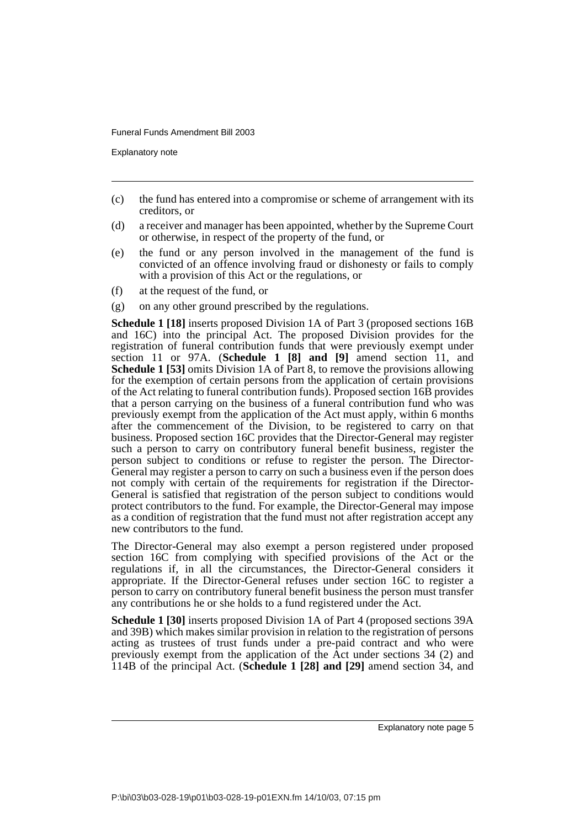Explanatory note

- (c) the fund has entered into a compromise or scheme of arrangement with its creditors, or
- (d) a receiver and manager has been appointed, whether by the Supreme Court or otherwise, in respect of the property of the fund, or
- (e) the fund or any person involved in the management of the fund is convicted of an offence involving fraud or dishonesty or fails to comply with a provision of this Act or the regulations, or
- (f) at the request of the fund, or
- (g) on any other ground prescribed by the regulations.

**Schedule 1 [18]** inserts proposed Division 1A of Part 3 (proposed sections 16B and 16C) into the principal Act. The proposed Division provides for the registration of funeral contribution funds that were previously exempt under section 11 or 97A. (**Schedule 1 [8] and [9]** amend section 11, and **Schedule 1 [53]** omits Division 1A of Part 8, to remove the provisions allowing for the exemption of certain persons from the application of certain provisions of the Act relating to funeral contribution funds). Proposed section 16B provides that a person carrying on the business of a funeral contribution fund who was previously exempt from the application of the Act must apply, within 6 months after the commencement of the Division, to be registered to carry on that business. Proposed section 16C provides that the Director-General may register such a person to carry on contributory funeral benefit business, register the person subject to conditions or refuse to register the person. The Director-General may register a person to carry on such a business even if the person does not comply with certain of the requirements for registration if the Director-General is satisfied that registration of the person subject to conditions would protect contributors to the fund. For example, the Director-General may impose as a condition of registration that the fund must not after registration accept any new contributors to the fund.

The Director-General may also exempt a person registered under proposed section 16C from complying with specified provisions of the Act or the regulations if, in all the circumstances, the Director-General considers it appropriate. If the Director-General refuses under section 16C to register a person to carry on contributory funeral benefit business the person must transfer any contributions he or she holds to a fund registered under the Act.

**Schedule 1 [30]** inserts proposed Division 1A of Part 4 (proposed sections 39A and 39B) which makes similar provision in relation to the registration of persons acting as trustees of trust funds under a pre-paid contract and who were previously exempt from the application of the Act under sections 34 (2) and 114B of the principal Act. (**Schedule 1 [28] and [29]** amend section 34, and

Explanatory note page 5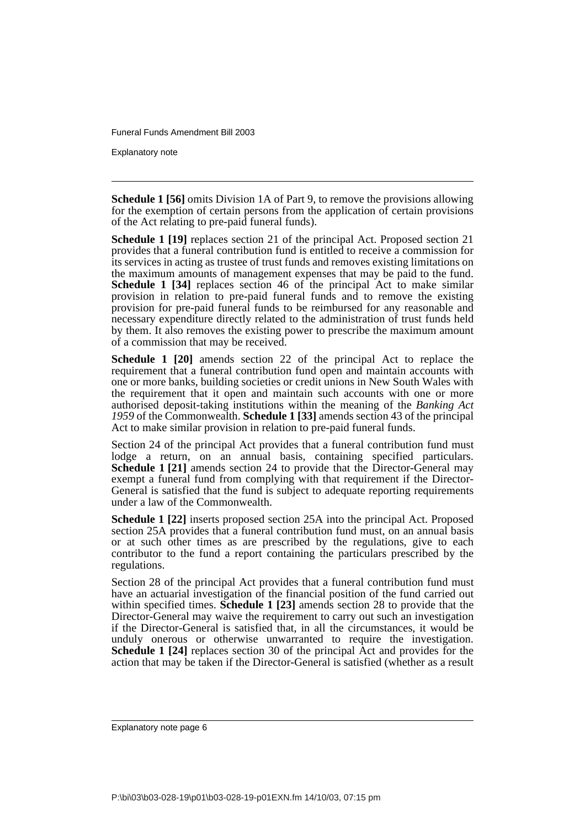Explanatory note

**Schedule 1 [56]** omits Division 1A of Part 9, to remove the provisions allowing for the exemption of certain persons from the application of certain provisions of the Act relating to pre-paid funeral funds).

**Schedule 1 [19]** replaces section 21 of the principal Act. Proposed section 21 provides that a funeral contribution fund is entitled to receive a commission for its services in acting as trustee of trust funds and removes existing limitations on the maximum amounts of management expenses that may be paid to the fund. **Schedule 1 [34]** replaces section 46 of the principal Act to make similar provision in relation to pre-paid funeral funds and to remove the existing provision for pre-paid funeral funds to be reimbursed for any reasonable and necessary expenditure directly related to the administration of trust funds held by them. It also removes the existing power to prescribe the maximum amount of a commission that may be received.

**Schedule 1 [20]** amends section 22 of the principal Act to replace the requirement that a funeral contribution fund open and maintain accounts with one or more banks, building societies or credit unions in New South Wales with the requirement that it open and maintain such accounts with one or more authorised deposit-taking institutions within the meaning of the *Banking Act 1959* of the Commonwealth. **Schedule 1 [33]** amends section 43 of the principal Act to make similar provision in relation to pre-paid funeral funds.

Section 24 of the principal Act provides that a funeral contribution fund must lodge a return, on an annual basis, containing specified particulars. **Schedule 1 [21]** amends section 24 to provide that the Director-General may exempt a funeral fund from complying with that requirement if the Director-General is satisfied that the fund is subject to adequate reporting requirements under a law of the Commonwealth.

**Schedule 1 [22]** inserts proposed section 25A into the principal Act. Proposed section 25A provides that a funeral contribution fund must, on an annual basis or at such other times as are prescribed by the regulations, give to each contributor to the fund a report containing the particulars prescribed by the regulations.

Section 28 of the principal Act provides that a funeral contribution fund must have an actuarial investigation of the financial position of the fund carried out within specified times. **Schedule 1 [23]** amends section 28 to provide that the Director-General may waive the requirement to carry out such an investigation if the Director-General is satisfied that, in all the circumstances, it would be unduly onerous or otherwise unwarranted to require the investigation. **Schedule 1 [24]** replaces section 30 of the principal Act and provides for the action that may be taken if the Director-General is satisfied (whether as a result

Explanatory note page 6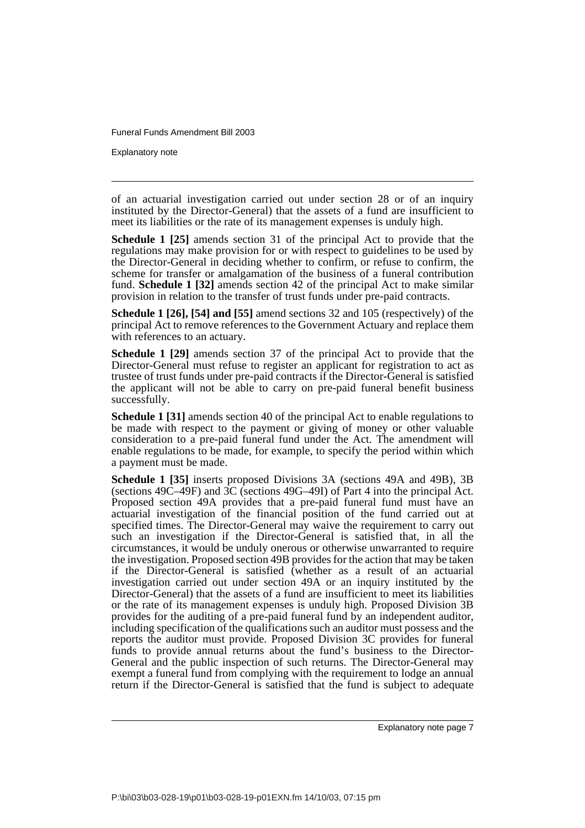Explanatory note

of an actuarial investigation carried out under section 28 or of an inquiry instituted by the Director-General) that the assets of a fund are insufficient to meet its liabilities or the rate of its management expenses is unduly high.

**Schedule 1 [25]** amends section 31 of the principal Act to provide that the regulations may make provision for or with respect to guidelines to be used by the Director-General in deciding whether to confirm, or refuse to confirm, the scheme for transfer or amalgamation of the business of a funeral contribution fund. **Schedule 1 [32]** amends section 42 of the principal Act to make similar provision in relation to the transfer of trust funds under pre-paid contracts.

**Schedule 1 [26], [54] and [55]** amend sections 32 and 105 (respectively) of the principal Act to remove references to the Government Actuary and replace them with references to an actuary.

**Schedule 1 [29]** amends section 37 of the principal Act to provide that the Director-General must refuse to register an applicant for registration to act as trustee of trust funds under pre-paid contracts if the Director-General is satisfied the applicant will not be able to carry on pre-paid funeral benefit business successfully.

**Schedule 1 [31]** amends section 40 of the principal Act to enable regulations to be made with respect to the payment or giving of money or other valuable consideration to a pre-paid funeral fund under the Act. The amendment will enable regulations to be made, for example, to specify the period within which a payment must be made.

**Schedule 1 [35]** inserts proposed Divisions 3A (sections 49A and 49B), 3B (sections 49C–49F) and 3C (sections 49G–49I) of Part 4 into the principal Act. Proposed section 49A provides that a pre-paid funeral fund must have an actuarial investigation of the financial position of the fund carried out at specified times. The Director-General may waive the requirement to carry out such an investigation if the Director-General is satisfied that, in all the circumstances, it would be unduly onerous or otherwise unwarranted to require the investigation. Proposed section 49B provides for the action that may be taken if the Director-General is satisfied (whether as a result of an actuarial investigation carried out under section 49A or an inquiry instituted by the Director-General) that the assets of a fund are insufficient to meet its liabilities or the rate of its management expenses is unduly high. Proposed Division 3B provides for the auditing of a pre-paid funeral fund by an independent auditor, including specification of the qualifications such an auditor must possess and the reports the auditor must provide. Proposed Division 3C provides for funeral funds to provide annual returns about the fund's business to the Director-General and the public inspection of such returns. The Director-General may exempt a funeral fund from complying with the requirement to lodge an annual return if the Director-General is satisfied that the fund is subject to adequate

Explanatory note page 7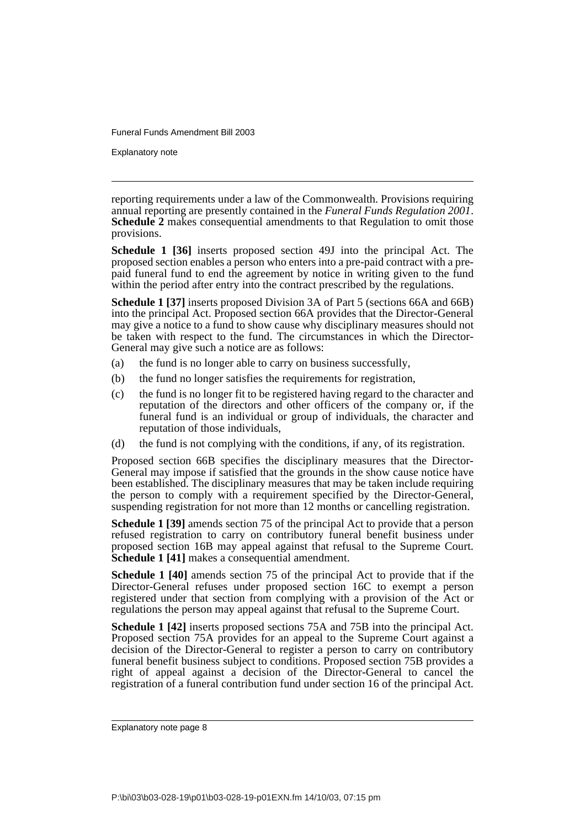Explanatory note

reporting requirements under a law of the Commonwealth. Provisions requiring annual reporting are presently contained in the *Funeral Funds Regulation 2001*. **Schedule 2** makes consequential amendments to that Regulation to omit those provisions.

**Schedule 1 [36]** inserts proposed section 49J into the principal Act. The proposed section enables a person who enters into a pre-paid contract with a prepaid funeral fund to end the agreement by notice in writing given to the fund within the period after entry into the contract prescribed by the regulations.

**Schedule 1 [37]** inserts proposed Division 3A of Part 5 (sections 66A and 66B) into the principal Act. Proposed section 66A provides that the Director-General may give a notice to a fund to show cause why disciplinary measures should not be taken with respect to the fund. The circumstances in which the Director-General may give such a notice are as follows:

- (a) the fund is no longer able to carry on business successfully,
- (b) the fund no longer satisfies the requirements for registration,
- (c) the fund is no longer fit to be registered having regard to the character and reputation of the directors and other officers of the company or, if the funeral fund is an individual or group of individuals, the character and reputation of those individuals,
- (d) the fund is not complying with the conditions, if any, of its registration.

Proposed section 66B specifies the disciplinary measures that the Director-General may impose if satisfied that the grounds in the show cause notice have been established. The disciplinary measures that may be taken include requiring the person to comply with a requirement specified by the Director-General, suspending registration for not more than 12 months or cancelling registration.

**Schedule 1 [39]** amends section 75 of the principal Act to provide that a person refused registration to carry on contributory funeral benefit business under proposed section 16B may appeal against that refusal to the Supreme Court. **Schedule 1 [41]** makes a consequential amendment.

**Schedule 1 [40]** amends section 75 of the principal Act to provide that if the Director-General refuses under proposed section 16C to exempt a person registered under that section from complying with a provision of the Act or regulations the person may appeal against that refusal to the Supreme Court.

**Schedule 1 [42]** inserts proposed sections 75A and 75B into the principal Act. Proposed section 75A provides for an appeal to the Supreme Court against a decision of the Director-General to register a person to carry on contributory funeral benefit business subject to conditions. Proposed section 75B provides a right of appeal against a decision of the Director-General to cancel the registration of a funeral contribution fund under section 16 of the principal Act.

Explanatory note page 8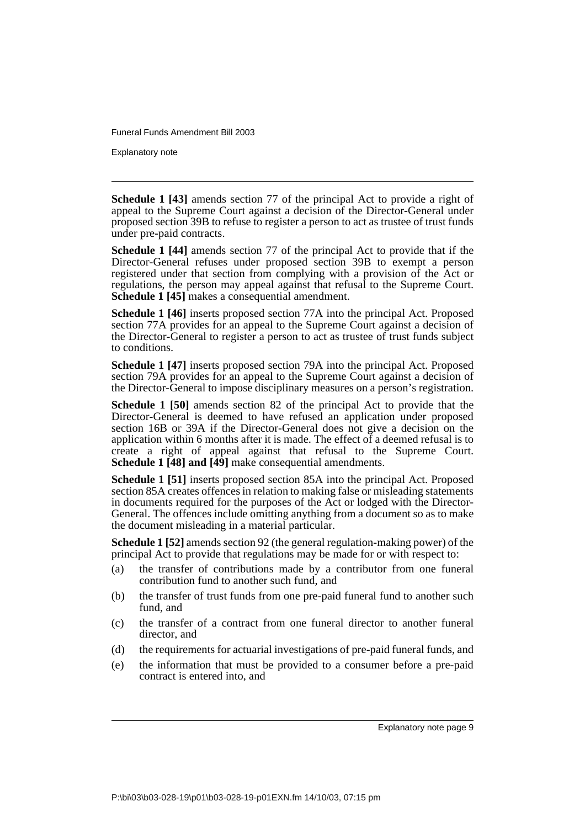Explanatory note

**Schedule 1 [43]** amends section 77 of the principal Act to provide a right of appeal to the Supreme Court against a decision of the Director-General under proposed section 39B to refuse to register a person to act as trustee of trust funds under pre-paid contracts.

**Schedule 1 [44]** amends section 77 of the principal Act to provide that if the Director-General refuses under proposed section 39B to exempt a person registered under that section from complying with a provision of the Act or regulations, the person may appeal against that refusal to the Supreme Court. **Schedule 1 [45]** makes a consequential amendment.

**Schedule 1 [46]** inserts proposed section 77A into the principal Act. Proposed section 77A provides for an appeal to the Supreme Court against a decision of the Director-General to register a person to act as trustee of trust funds subject to conditions.

**Schedule 1 [47]** inserts proposed section 79A into the principal Act. Proposed section 79A provides for an appeal to the Supreme Court against a decision of the Director-General to impose disciplinary measures on a person's registration.

**Schedule 1 [50]** amends section 82 of the principal Act to provide that the Director-General is deemed to have refused an application under proposed section 16B or 39A if the Director-General does not give a decision on the application within 6 months after it is made. The effect of a deemed refusal is to create a right of appeal against that refusal to the Supreme Court. **Schedule 1 [48] and [49]** make consequential amendments.

**Schedule 1 [51]** inserts proposed section 85A into the principal Act. Proposed section 85A creates offences in relation to making false or misleading statements in documents required for the purposes of the Act or lodged with the Director-General. The offences include omitting anything from a document so as to make the document misleading in a material particular.

**Schedule 1 [52]** amends section 92 (the general regulation-making power) of the principal Act to provide that regulations may be made for or with respect to:

- (a) the transfer of contributions made by a contributor from one funeral contribution fund to another such fund, and
- (b) the transfer of trust funds from one pre-paid funeral fund to another such fund, and
- (c) the transfer of a contract from one funeral director to another funeral director, and
- (d) the requirements for actuarial investigations of pre-paid funeral funds, and
- (e) the information that must be provided to a consumer before a pre-paid contract is entered into, and

Explanatory note page 9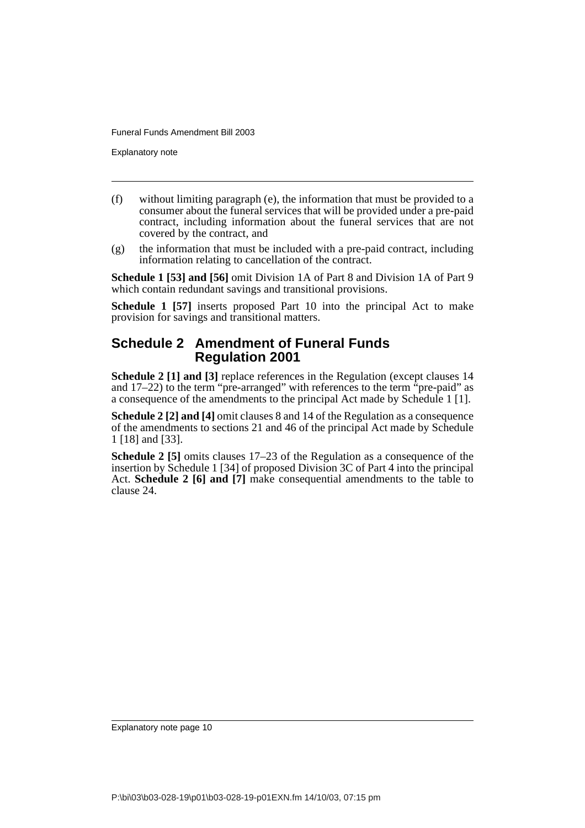Explanatory note

- (f) without limiting paragraph (e), the information that must be provided to a consumer about the funeral services that will be provided under a pre-paid contract, including information about the funeral services that are not covered by the contract, and
- (g) the information that must be included with a pre-paid contract, including information relating to cancellation of the contract.

**Schedule 1 [53] and [56]** omit Division 1A of Part 8 and Division 1A of Part 9 which contain redundant savings and transitional provisions.

**Schedule 1 [57]** inserts proposed Part 10 into the principal Act to make provision for savings and transitional matters.

## **Schedule 2 Amendment of Funeral Funds Regulation 2001**

**Schedule 2 [1] and [3]** replace references in the Regulation (except clauses 14 and 17–22) to the term "pre-arranged" with references to the term "pre-paid" as a consequence of the amendments to the principal Act made by Schedule 1 [1].

**Schedule 2 [2] and [4]** omit clauses 8 and 14 of the Regulation as a consequence of the amendments to sections 21 and 46 of the principal Act made by Schedule 1 [18] and [33].

**Schedule 2 [5]** omits clauses 17–23 of the Regulation as a consequence of the insertion by Schedule 1 [34] of proposed Division 3C of Part 4 into the principal Act. **Schedule 2 [6] and [7]** make consequential amendments to the table to clause 24.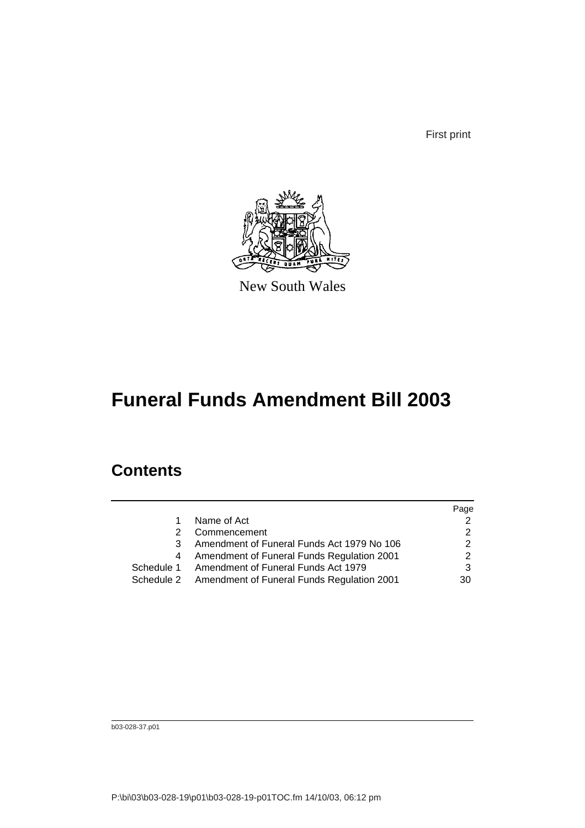First print



New South Wales

# **Funeral Funds Amendment Bill 2003**

# **Contents**

|   |                                                       | Page |
|---|-------------------------------------------------------|------|
| 1 | Name of Act                                           |      |
| 2 | Commencement                                          |      |
| З | Amendment of Funeral Funds Act 1979 No 106            |      |
| 4 | Amendment of Funeral Funds Regulation 2001            |      |
|   | Schedule 1 Amendment of Funeral Funds Act 1979        | 3    |
|   | Schedule 2 Amendment of Funeral Funds Regulation 2001 | 30   |

b03-028-37.p01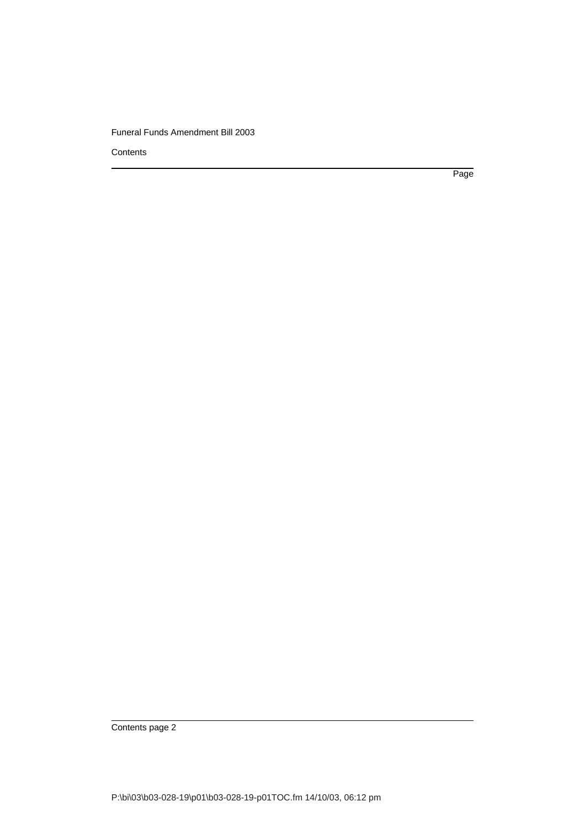**Contents** 

Page

Contents page 2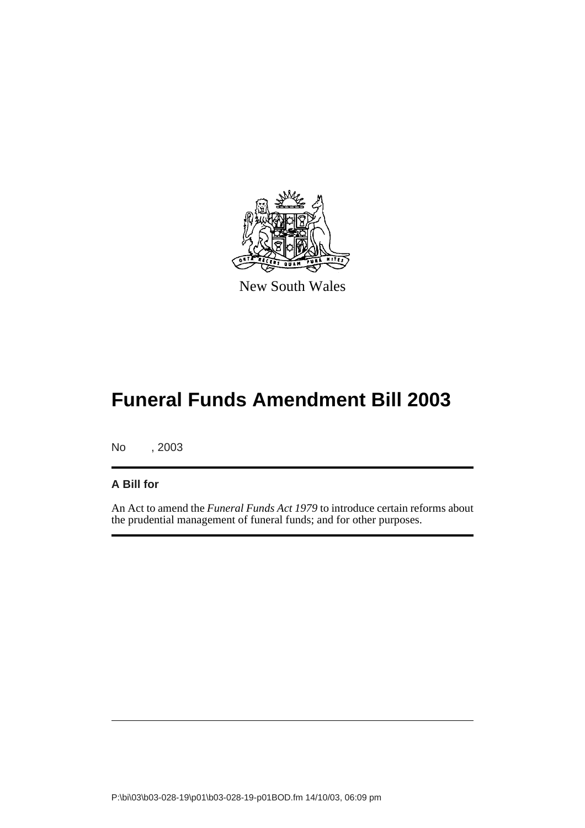

New South Wales

# **Funeral Funds Amendment Bill 2003**

No , 2003

## **A Bill for**

An Act to amend the *Funeral Funds Act 1979* to introduce certain reforms about the prudential management of funeral funds; and for other purposes.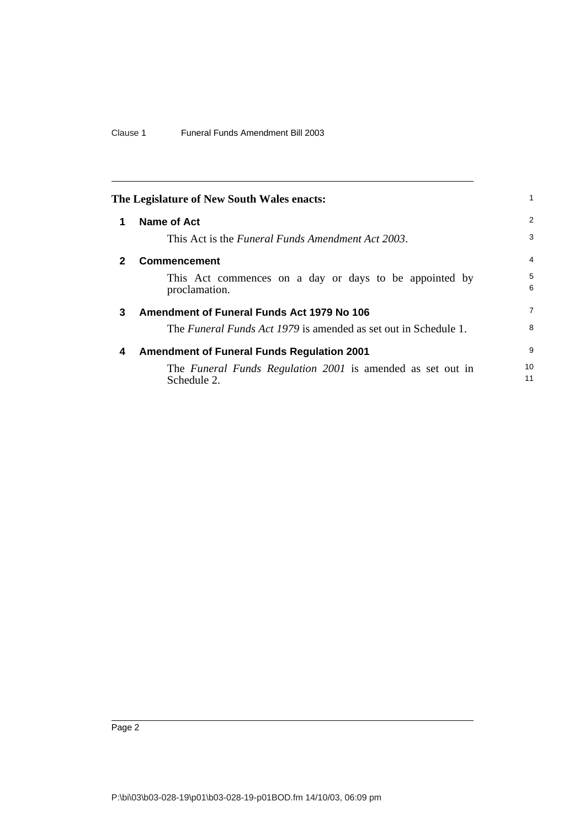<span id="page-13-3"></span><span id="page-13-2"></span><span id="page-13-1"></span><span id="page-13-0"></span>

|              | The Legislature of New South Wales enacts:                                       |                |
|--------------|----------------------------------------------------------------------------------|----------------|
| 1            | <b>Name of Act</b>                                                               | $\overline{2}$ |
|              | This Act is the <i>Funeral Funds Amendment Act 2003</i> .                        | 3              |
| $\mathbf{2}$ | <b>Commencement</b>                                                              | 4              |
|              | This Act commences on a day or days to be appointed by<br>proclamation.          | 5<br>6         |
| 3            | Amendment of Funeral Funds Act 1979 No 106                                       | 7              |
|              | The <i>Funeral Funds Act 1979</i> is amended as set out in Schedule 1.           | 8              |
| 4            | <b>Amendment of Funeral Funds Regulation 2001</b>                                | 9              |
|              | The <i>Funeral Funds Regulation 2001</i> is amended as set out in<br>Schedule 2. | 10<br>11       |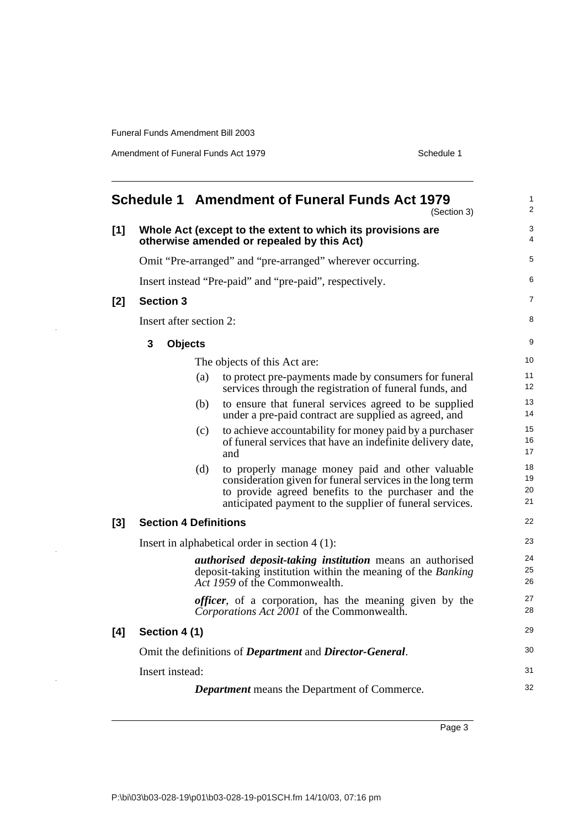Amendment of Funeral Funds Act 1979 Schedule 1

<span id="page-14-0"></span>

|       |   |                         |     | Schedule 1 Amendment of Funeral Funds Act 1979<br>(Section 3)                                                                                                                                                                    | 1<br>$\overline{\mathbf{c}}$ |
|-------|---|-------------------------|-----|----------------------------------------------------------------------------------------------------------------------------------------------------------------------------------------------------------------------------------|------------------------------|
| [1]   |   |                         |     | Whole Act (except to the extent to which its provisions are<br>otherwise amended or repealed by this Act)                                                                                                                        | 3<br>4                       |
|       |   |                         |     | Omit "Pre-arranged" and "pre-arranged" wherever occurring.                                                                                                                                                                       | 5                            |
|       |   |                         |     | Insert instead "Pre-paid" and "pre-paid", respectively.                                                                                                                                                                          | 6                            |
| $[2]$ |   | <b>Section 3</b>        |     |                                                                                                                                                                                                                                  | 7                            |
|       |   | Insert after section 2: |     |                                                                                                                                                                                                                                  | 8                            |
|       | 3 | <b>Objects</b>          |     |                                                                                                                                                                                                                                  | 9                            |
|       |   |                         |     | The objects of this Act are:                                                                                                                                                                                                     | 10                           |
|       |   |                         | (a) | to protect pre-payments made by consumers for funeral<br>services through the registration of funeral funds, and                                                                                                                 | 11<br>12                     |
|       |   |                         | (b) | to ensure that funeral services agreed to be supplied<br>under a pre-paid contract are supplied as agreed, and                                                                                                                   | 13<br>14                     |
|       |   |                         | (c) | to achieve accountability for money paid by a purchaser<br>of funeral services that have an indefinite delivery date,<br>and                                                                                                     | 15<br>16<br>17               |
|       |   |                         | (d) | to properly manage money paid and other valuable<br>consideration given for funeral services in the long term<br>to provide agreed benefits to the purchaser and the<br>anticipated payment to the supplier of funeral services. | 18<br>19<br>20<br>21         |
| [3]   |   |                         |     | <b>Section 4 Definitions</b>                                                                                                                                                                                                     | 22                           |
|       |   |                         |     | Insert in alphabetical order in section $4(1)$ :                                                                                                                                                                                 | 23                           |
|       |   |                         |     | <i>authorised deposit-taking institution</i> means an authorised<br>deposit-taking institution within the meaning of the Banking<br>Act 1959 of the Commonwealth.                                                                | 24<br>25<br>26               |
|       |   |                         |     | <i>officer</i> , of a corporation, has the meaning given by the<br>Corporations Act 2001 of the Commonwealth.                                                                                                                    | 27<br>28                     |
| [4]   |   | Section 4 (1)           |     |                                                                                                                                                                                                                                  | 29                           |
|       |   |                         |     | Omit the definitions of Department and Director-General.                                                                                                                                                                         | 30                           |
|       |   | Insert instead:         |     |                                                                                                                                                                                                                                  | 31                           |
|       |   |                         |     | <b>Department</b> means the Department of Commerce.                                                                                                                                                                              | 32                           |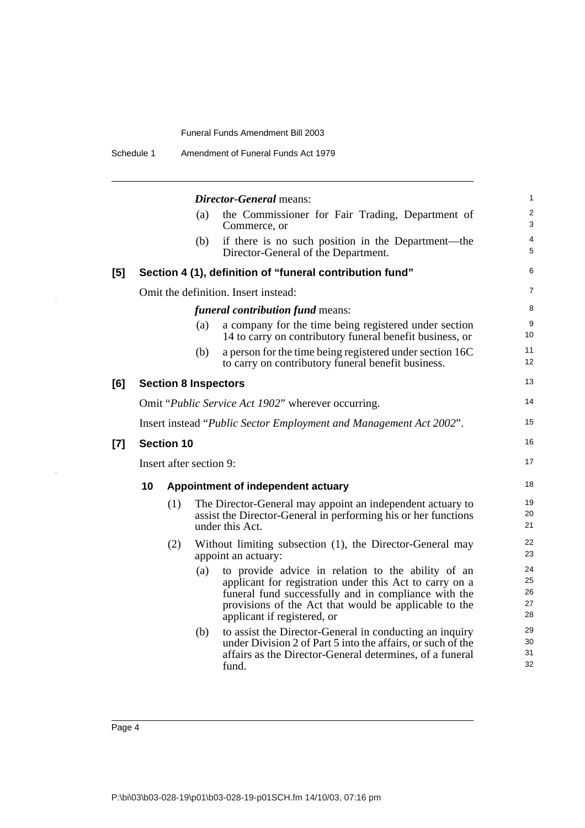|     |                         |                   |     | <b>Director-General</b> means:                                                                                                                                                                                                                                | 1                          |  |
|-----|-------------------------|-------------------|-----|---------------------------------------------------------------------------------------------------------------------------------------------------------------------------------------------------------------------------------------------------------------|----------------------------|--|
|     |                         |                   | (a) | the Commissioner for Fair Trading, Department of<br>Commerce, or                                                                                                                                                                                              | 2<br>3                     |  |
|     |                         |                   | (b) | if there is no such position in the Department—the<br>Director-General of the Department.                                                                                                                                                                     | $\overline{4}$<br>5        |  |
| [5] |                         |                   |     | Section 4 (1), definition of "funeral contribution fund"                                                                                                                                                                                                      | 6                          |  |
|     |                         |                   |     | Omit the definition. Insert instead:                                                                                                                                                                                                                          | $\overline{7}$             |  |
|     |                         |                   |     | <i>funeral contribution fund means:</i>                                                                                                                                                                                                                       | 8                          |  |
|     |                         |                   | (a) | a company for the time being registered under section<br>14 to carry on contributory funeral benefit business, or                                                                                                                                             | 9<br>10                    |  |
|     |                         |                   | (b) | a person for the time being registered under section 16C<br>to carry on contributory funeral benefit business.                                                                                                                                                | 11<br>12                   |  |
| [6] |                         |                   |     | <b>Section 8 Inspectors</b>                                                                                                                                                                                                                                   | 13                         |  |
|     |                         |                   |     | Omit "Public Service Act 1902" wherever occurring.                                                                                                                                                                                                            | 14                         |  |
|     |                         |                   |     | Insert instead "Public Sector Employment and Management Act 2002".                                                                                                                                                                                            | 15                         |  |
| [7] |                         | <b>Section 10</b> |     |                                                                                                                                                                                                                                                               | 16                         |  |
|     | Insert after section 9: |                   |     |                                                                                                                                                                                                                                                               |                            |  |
|     | 10                      |                   |     | Appointment of independent actuary                                                                                                                                                                                                                            | 18                         |  |
|     |                         | (1)               |     | The Director-General may appoint an independent actuary to<br>assist the Director-General in performing his or her functions<br>under this Act.                                                                                                               | 19<br>20<br>21             |  |
|     |                         | (2)               |     | Without limiting subsection (1), the Director-General may<br>appoint an actuary:                                                                                                                                                                              | 22<br>23                   |  |
|     |                         |                   | (a) | to provide advice in relation to the ability of an<br>applicant for registration under this Act to carry on a<br>funeral fund successfully and in compliance with the<br>provisions of the Act that would be applicable to the<br>applicant if registered, or | 24<br>25<br>26<br>27<br>28 |  |
|     |                         |                   | (b) | to assist the Director-General in conducting an inquiry<br>under Division 2 of Part 5 into the affairs, or such of the<br>affairs as the Director-General determines, of a funeral<br>fund.                                                                   | 29<br>30<br>31<br>32       |  |

Page 4

 $\bar{z}$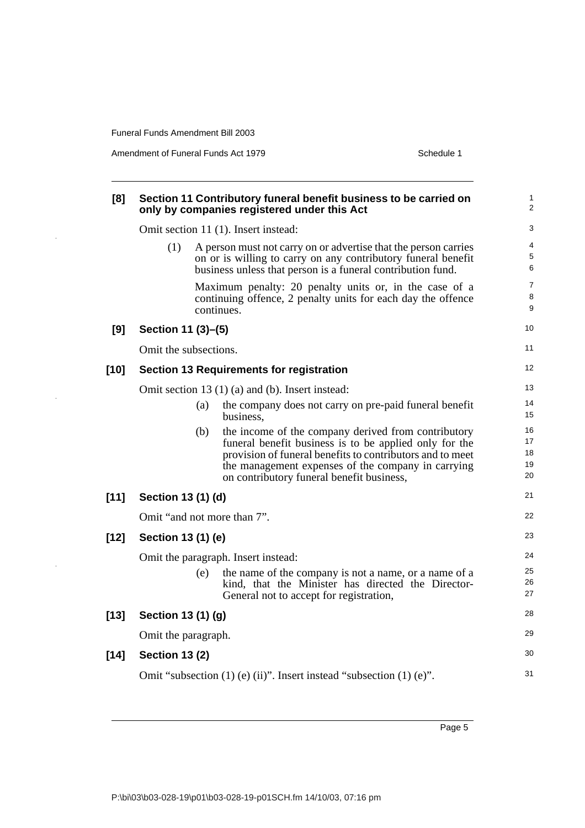$\hat{\mathcal{A}}$ 

 $\hat{\boldsymbol{\beta}}$ 

 $\hat{\mathcal{A}}$ 

Amendment of Funeral Funds Act 1979 Schedule 1

| [8]    |                             | Section 11 Contributory funeral benefit business to be carried on<br>only by companies registered under this Act                                                                                                                                                              | 1<br>$\overline{2}$        |
|--------|-----------------------------|-------------------------------------------------------------------------------------------------------------------------------------------------------------------------------------------------------------------------------------------------------------------------------|----------------------------|
|        |                             | Omit section 11 (1). Insert instead:                                                                                                                                                                                                                                          | 3                          |
|        | (1)                         | A person must not carry on or advertise that the person carries<br>on or is willing to carry on any contributory funeral benefit<br>business unless that person is a funeral contribution fund.                                                                               | 4<br>5<br>6                |
|        |                             | Maximum penalty: 20 penalty units or, in the case of a<br>continuing offence, 2 penalty units for each day the offence<br>continues.                                                                                                                                          | $\overline{7}$<br>8<br>9   |
| [9]    | Section 11 (3)–(5)          |                                                                                                                                                                                                                                                                               | 10                         |
|        | Omit the subsections.       |                                                                                                                                                                                                                                                                               | 11                         |
| $[10]$ |                             | <b>Section 13 Requirements for registration</b>                                                                                                                                                                                                                               | 12                         |
|        |                             | Omit section 13 $(1)$ (a) and (b). Insert instead:                                                                                                                                                                                                                            | 13                         |
|        | (a)                         | the company does not carry on pre-paid funeral benefit<br>business,                                                                                                                                                                                                           | 14<br>15                   |
|        | (b)                         | the income of the company derived from contributory<br>funeral benefit business is to be applied only for the<br>provision of funeral benefits to contributors and to meet<br>the management expenses of the company in carrying<br>on contributory funeral benefit business, | 16<br>17<br>18<br>19<br>20 |
| $[11]$ | Section 13 (1) (d)          |                                                                                                                                                                                                                                                                               | 21                         |
|        | Omit "and not more than 7". |                                                                                                                                                                                                                                                                               | 22                         |
| $[12]$ | Section 13 (1) (e)          |                                                                                                                                                                                                                                                                               | 23                         |
|        |                             | Omit the paragraph. Insert instead:                                                                                                                                                                                                                                           | 24                         |
|        | (e)                         | the name of the company is not a name, or a name of a<br>kind, that the Minister has directed the Director-<br>General not to accept for registration,                                                                                                                        | 25<br>26<br>27             |
| $[13]$ | Section 13 (1) (g)          |                                                                                                                                                                                                                                                                               | 28                         |
|        | Omit the paragraph.         |                                                                                                                                                                                                                                                                               | 29                         |
| $[14]$ | <b>Section 13 (2)</b>       |                                                                                                                                                                                                                                                                               | 30                         |
|        |                             | Omit "subsection $(1)$ (e) $(ii)$ ". Insert instead "subsection $(1)$ (e)".                                                                                                                                                                                                   | 31                         |
|        |                             |                                                                                                                                                                                                                                                                               |                            |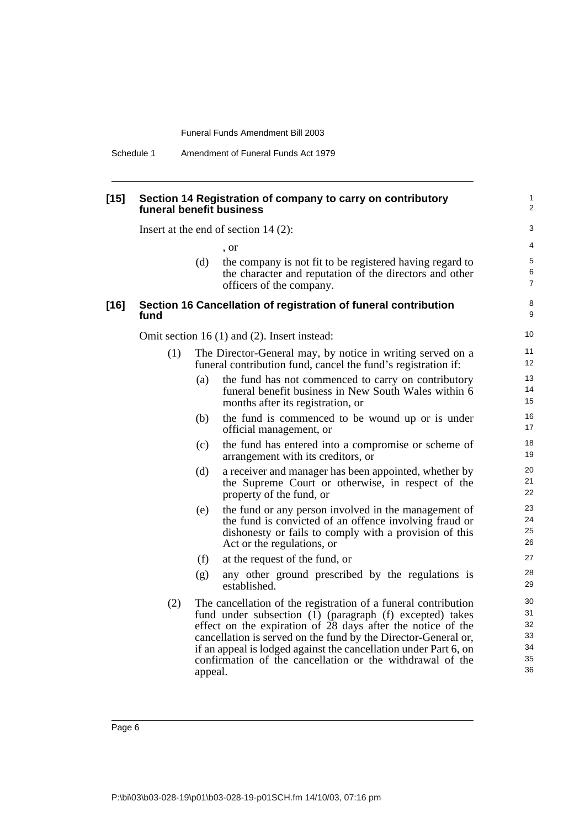### **[15] Section 14 Registration of company to carry on contributory funeral benefit business** Insert at the end of section 14 (2): , or (d) the company is not fit to be registered having regard to the character and reputation of the directors and other officers of the company. **[16] Section 16 Cancellation of registration of funeral contribution fund** Omit section 16 (1) and (2). Insert instead: (1) The Director-General may, by notice in writing served on a funeral contribution fund, cancel the fund's registration if: (a) the fund has not commenced to carry on contributory funeral benefit business in New South Wales within 6 months after its registration, or (b) the fund is commenced to be wound up or is under official management, or (c) the fund has entered into a compromise or scheme of arrangement with its creditors, or (d) a receiver and manager has been appointed, whether by the Supreme Court or otherwise, in respect of the property of the fund, or (e) the fund or any person involved in the management of the fund is convicted of an offence involving fraud or dishonesty or fails to comply with a provision of this Act or the regulations, or (f) at the request of the fund, or (g) any other ground prescribed by the regulations is established. (2) The cancellation of the registration of a funeral contribution fund under subsection (1) (paragraph (f) excepted) takes effect on the expiration of 28 days after the notice of the cancellation is served on the fund by the Director-General or, 10 11 12 13 14 15 16 17 18 19 20 21 22 23 24 25 26 27 28 29 30 31 32 33

1  $\overline{2}$ 

8 9

34 35 36

if an appeal is lodged against the cancellation under Part 6, on confirmation of the cancellation or the withdrawal of the

Page 6

appeal.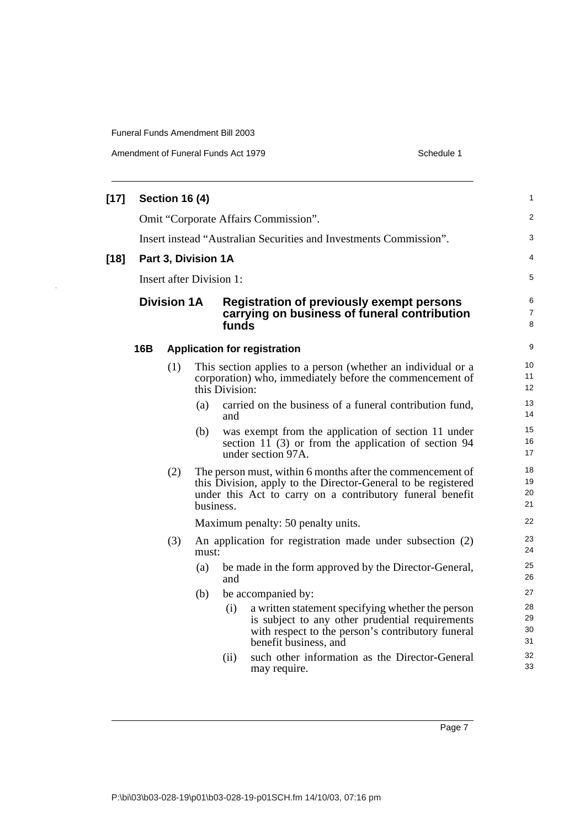$\bar{z}$ 

| $[17]$ |     | <b>Section 16 (4)</b> |       |                                                                                                                                                                                                       | 1                    |
|--------|-----|-----------------------|-------|-------------------------------------------------------------------------------------------------------------------------------------------------------------------------------------------------------|----------------------|
|        |     |                       |       | Omit "Corporate Affairs Commission".                                                                                                                                                                  | $\overline{c}$       |
|        |     |                       |       | Insert instead "Australian Securities and Investments Commission".                                                                                                                                    | 3                    |
| $[18]$ |     | Part 3, Division 1A   |       |                                                                                                                                                                                                       | 4                    |
|        |     |                       |       | <b>Insert after Division 1:</b>                                                                                                                                                                       | 5                    |
|        |     | <b>Division 1A</b>    |       | <b>Registration of previously exempt persons</b><br>carrying on business of funeral contribution<br>funds                                                                                             | 6<br>7<br>8          |
|        | 16B |                       |       | <b>Application for registration</b>                                                                                                                                                                   | 9                    |
|        |     | (1)                   |       | This section applies to a person (whether an individual or a<br>corporation) who, immediately before the commencement of<br>this Division:                                                            | 10<br>11<br>12       |
|        |     |                       | (a)   | carried on the business of a funeral contribution fund,<br>and                                                                                                                                        | 13<br>14             |
|        |     |                       | (b)   | was exempt from the application of section 11 under<br>section 11 (3) or from the application of section 94<br>under section 97A.                                                                     | 15<br>16<br>17       |
|        |     | (2)                   |       | The person must, within 6 months after the commencement of<br>this Division, apply to the Director-General to be registered<br>under this Act to carry on a contributory funeral benefit<br>business. | 18<br>19<br>20<br>21 |
|        |     |                       |       | Maximum penalty: 50 penalty units.                                                                                                                                                                    | 22                   |
|        |     | (3)                   | must: | An application for registration made under subsection (2)                                                                                                                                             | 23<br>24             |
|        |     |                       | (a)   | be made in the form approved by the Director-General,<br>and                                                                                                                                          | 25<br>26             |
|        |     |                       | (b)   | be accompanied by:                                                                                                                                                                                    | 27                   |
|        |     |                       |       | a written statement specifying whether the person<br>(i)<br>is subject to any other prudential requirements<br>with respect to the person's contributory funeral<br>benefit business, and             | 28<br>29<br>30<br>31 |
|        |     |                       |       | such other information as the Director-General<br>(ii)<br>may require.                                                                                                                                | 32<br>33             |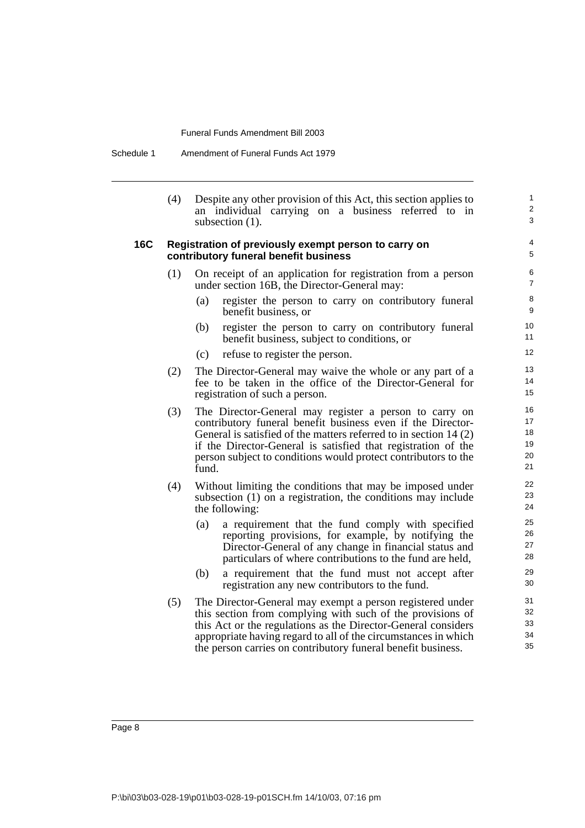Schedule 1 Amendment of Funeral Funds Act 1979

|     | (4) | Despite any other provision of this Act, this section applies to<br>an individual carrying on a business referred to in<br>subsection (1).                                                                                                                                                                                             | 1<br>2<br>3                      |
|-----|-----|----------------------------------------------------------------------------------------------------------------------------------------------------------------------------------------------------------------------------------------------------------------------------------------------------------------------------------------|----------------------------------|
| 16C |     | Registration of previously exempt person to carry on<br>contributory funeral benefit business                                                                                                                                                                                                                                          | 4<br>5                           |
|     | (1) | On receipt of an application for registration from a person<br>under section 16B, the Director-General may:                                                                                                                                                                                                                            | 6<br>$\overline{7}$              |
|     |     | (a)<br>register the person to carry on contributory funeral<br>benefit business, or                                                                                                                                                                                                                                                    | 8<br>$\boldsymbol{9}$            |
|     |     | register the person to carry on contributory funeral<br>(b)<br>benefit business, subject to conditions, or                                                                                                                                                                                                                             | 10<br>11                         |
|     |     | refuse to register the person.<br>(c)                                                                                                                                                                                                                                                                                                  | 12                               |
|     | (2) | The Director-General may waive the whole or any part of a<br>fee to be taken in the office of the Director-General for<br>registration of such a person.                                                                                                                                                                               | 13<br>14<br>15                   |
|     | (3) | The Director-General may register a person to carry on<br>contributory funeral benefit business even if the Director-<br>General is satisfied of the matters referred to in section 14 (2)<br>if the Director-General is satisfied that registration of the<br>person subject to conditions would protect contributors to the<br>fund. | 16<br>17<br>18<br>19<br>20<br>21 |
|     | (4) | Without limiting the conditions that may be imposed under<br>subsection (1) on a registration, the conditions may include<br>the following:                                                                                                                                                                                            | 22<br>23<br>24                   |
|     |     | a requirement that the fund comply with specified<br>(a)<br>reporting provisions, for example, by notifying the<br>Director-General of any change in financial status and<br>particulars of where contributions to the fund are held,                                                                                                  | 25<br>26<br>27<br>28             |
|     |     | a requirement that the fund must not accept after<br>(b)<br>registration any new contributors to the fund.                                                                                                                                                                                                                             | 29<br>30                         |
|     | (5) | The Director-General may exempt a person registered under<br>this section from complying with such of the provisions of<br>this Act or the regulations as the Director-General considers<br>appropriate having regard to all of the circumstances in which<br>the person carries on contributory funeral benefit business.             | 31<br>32<br>33<br>34<br>35       |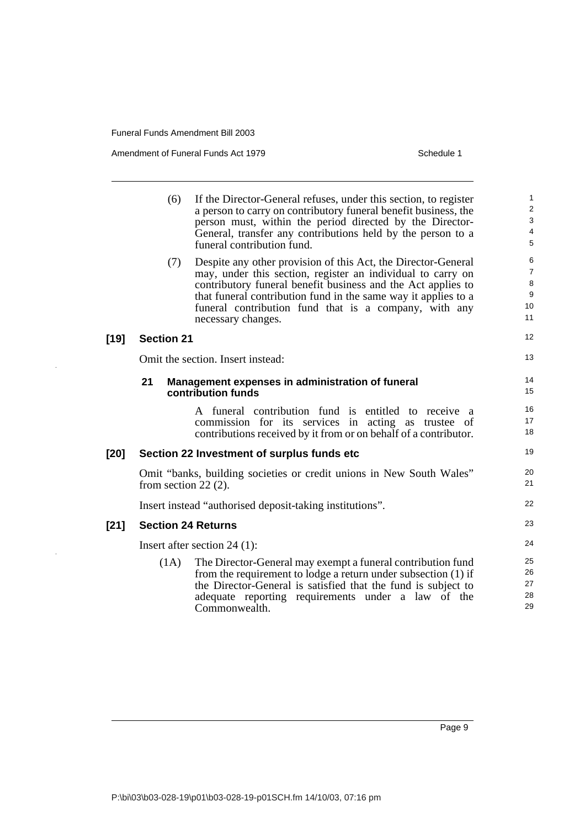$\ddot{\phantom{a}}$ 

Amendment of Funeral Funds Act 1979 Schedule 1

|        |                                 | (6)<br>If the Director-General refuses, under this section, to register<br>a person to carry on contributory funeral benefit business, the<br>person must, within the period directed by the Director-<br>General, transfer any contributions held by the person to a<br>funeral contribution fund.                                                  | $\mathbf{1}$<br>$\overline{c}$<br>3<br>$\overline{4}$<br>5 |  |  |
|--------|---------------------------------|------------------------------------------------------------------------------------------------------------------------------------------------------------------------------------------------------------------------------------------------------------------------------------------------------------------------------------------------------|------------------------------------------------------------|--|--|
|        |                                 | Despite any other provision of this Act, the Director-General<br>(7)<br>may, under this section, register an individual to carry on<br>contributory funeral benefit business and the Act applies to<br>that funeral contribution fund in the same way it applies to a<br>funeral contribution fund that is a company, with any<br>necessary changes. | 6<br>$\overline{7}$<br>8<br>$\boldsymbol{9}$<br>10<br>11   |  |  |
| $[19]$ | <b>Section 21</b>               |                                                                                                                                                                                                                                                                                                                                                      | 12                                                         |  |  |
|        |                                 | Omit the section. Insert instead:                                                                                                                                                                                                                                                                                                                    | 13                                                         |  |  |
|        | 21                              | Management expenses in administration of funeral<br>contribution funds                                                                                                                                                                                                                                                                               | 14<br>15                                                   |  |  |
|        |                                 | A funeral contribution fund is entitled to receive a<br>commission for its services in acting as<br>trustee of<br>contributions received by it from or on behalf of a contributor.                                                                                                                                                                   | 16<br>17<br>18                                             |  |  |
| $[20]$ |                                 | Section 22 Investment of surplus funds etc                                                                                                                                                                                                                                                                                                           | 19                                                         |  |  |
|        |                                 | Omit "banks, building societies or credit unions in New South Wales"<br>from section 22 $(2)$ .                                                                                                                                                                                                                                                      | 20<br>21                                                   |  |  |
|        |                                 | Insert instead "authorised deposit-taking institutions".                                                                                                                                                                                                                                                                                             | 22                                                         |  |  |
| $[21]$ |                                 | <b>Section 24 Returns</b>                                                                                                                                                                                                                                                                                                                            | 23                                                         |  |  |
|        | Insert after section 24 $(1)$ : |                                                                                                                                                                                                                                                                                                                                                      |                                                            |  |  |
|        |                                 | (1A)<br>The Director-General may exempt a funeral contribution fund<br>from the requirement to lodge a return under subsection (1) if<br>the Director-General is satisfied that the fund is subject to<br>adequate reporting requirements under a law of the<br>Commonwealth.                                                                        | 25<br>26<br>27<br>28<br>29                                 |  |  |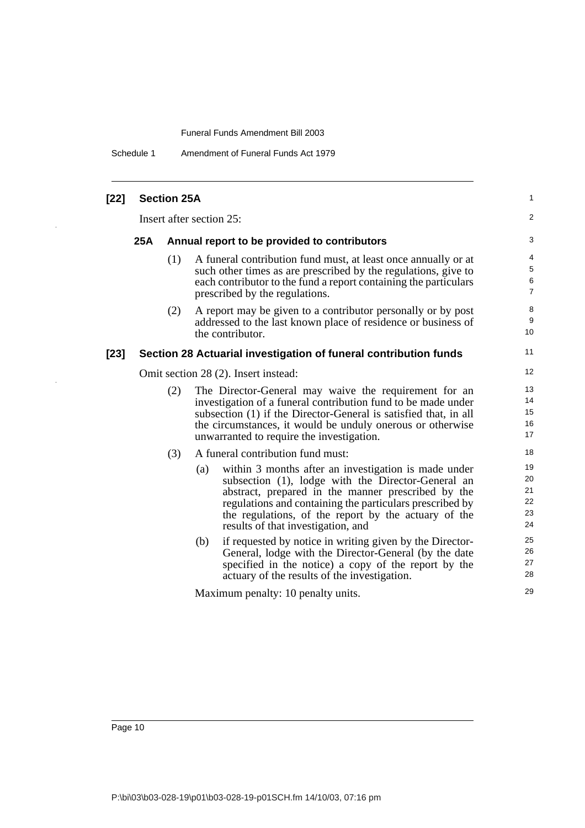Schedule 1 Amendment of Funeral Funds Act 1979

| $[22]$ |                                                                                                                                                                                                                                                                                                              | <b>Section 25A</b> |                                                                                                                                                                                                                                                                                                                                   | 1                                |
|--------|--------------------------------------------------------------------------------------------------------------------------------------------------------------------------------------------------------------------------------------------------------------------------------------------------------------|--------------------|-----------------------------------------------------------------------------------------------------------------------------------------------------------------------------------------------------------------------------------------------------------------------------------------------------------------------------------|----------------------------------|
|        |                                                                                                                                                                                                                                                                                                              |                    | Insert after section 25:                                                                                                                                                                                                                                                                                                          | $\overline{c}$                   |
|        | 25A                                                                                                                                                                                                                                                                                                          |                    | Annual report to be provided to contributors                                                                                                                                                                                                                                                                                      | 3                                |
|        |                                                                                                                                                                                                                                                                                                              | (1)                | A funeral contribution fund must, at least once annually or at<br>such other times as are prescribed by the regulations, give to<br>each contributor to the fund a report containing the particulars<br>prescribed by the regulations.                                                                                            | 4<br>5<br>6<br>$\overline{7}$    |
|        |                                                                                                                                                                                                                                                                                                              | (2)                | A report may be given to a contributor personally or by post<br>addressed to the last known place of residence or business of<br>the contributor.                                                                                                                                                                                 | 8<br>9<br>10                     |
| $[23]$ |                                                                                                                                                                                                                                                                                                              |                    | Section 28 Actuarial investigation of funeral contribution funds                                                                                                                                                                                                                                                                  | 11                               |
|        |                                                                                                                                                                                                                                                                                                              |                    | Omit section 28 (2). Insert instead:                                                                                                                                                                                                                                                                                              | 12                               |
|        | (2)<br>The Director-General may waive the requirement for an<br>investigation of a funeral contribution fund to be made under<br>subsection (1) if the Director-General is satisfied that, in all<br>the circumstances, it would be unduly onerous or otherwise<br>unwarranted to require the investigation. |                    |                                                                                                                                                                                                                                                                                                                                   |                                  |
|        |                                                                                                                                                                                                                                                                                                              | (3)                | A funeral contribution fund must:                                                                                                                                                                                                                                                                                                 | 18                               |
|        |                                                                                                                                                                                                                                                                                                              |                    | within 3 months after an investigation is made under<br>(a)<br>subsection (1), lodge with the Director-General an<br>abstract, prepared in the manner prescribed by the<br>regulations and containing the particulars prescribed by<br>the regulations, of the report by the actuary of the<br>results of that investigation, and | 19<br>20<br>21<br>22<br>23<br>24 |
|        |                                                                                                                                                                                                                                                                                                              |                    | if requested by notice in writing given by the Director-<br>(b)<br>General, lodge with the Director-General (by the date<br>specified in the notice) a copy of the report by the<br>actuary of the results of the investigation.                                                                                                  | 25<br>26<br>27<br>28             |
|        |                                                                                                                                                                                                                                                                                                              |                    | Maximum penalty: 10 penalty units.                                                                                                                                                                                                                                                                                                | 29                               |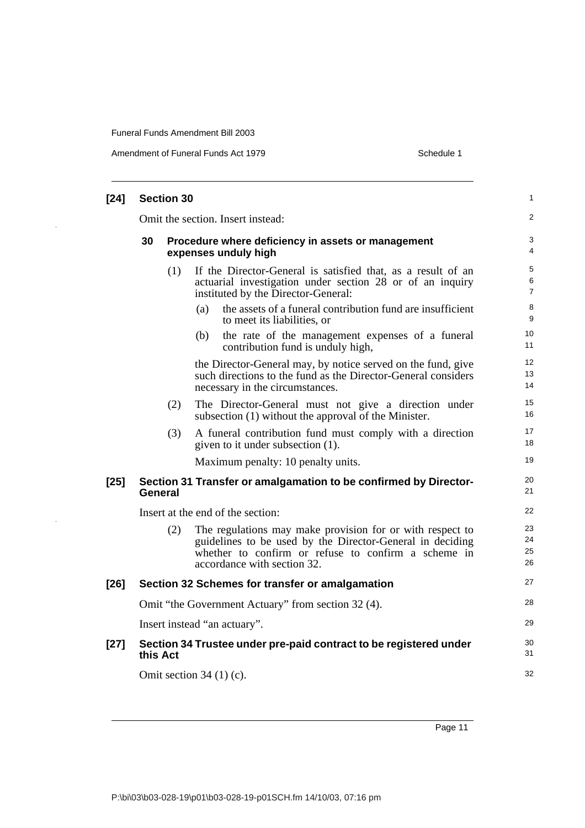$\ddot{\phantom{a}}$ 

Amendment of Funeral Funds Act 1979 Schedule 1

| $[24]$ | <b>Section 30</b> |     |                                                                                                                                                                                                              |                          |  |  |
|--------|-------------------|-----|--------------------------------------------------------------------------------------------------------------------------------------------------------------------------------------------------------------|--------------------------|--|--|
|        |                   |     | Omit the section. Insert instead:                                                                                                                                                                            | 2                        |  |  |
|        | 30                |     | Procedure where deficiency in assets or management<br>expenses unduly high                                                                                                                                   | 3<br>$\overline{4}$      |  |  |
|        |                   | (1) | If the Director-General is satisfied that, as a result of an<br>actuarial investigation under section 28 or of an inquiry<br>instituted by the Director-General:                                             | 5<br>6<br>$\overline{7}$ |  |  |
|        |                   |     | the assets of a funeral contribution fund are insufficient<br>(a)<br>to meet its liabilities, or                                                                                                             | 8<br>9                   |  |  |
|        |                   |     | (b)<br>the rate of the management expenses of a funeral<br>contribution fund is unduly high,                                                                                                                 | 10<br>11                 |  |  |
|        |                   |     | the Director-General may, by notice served on the fund, give<br>such directions to the fund as the Director-General considers<br>necessary in the circumstances.                                             | 12<br>13<br>14           |  |  |
|        |                   | (2) | The Director-General must not give a direction under<br>subsection (1) without the approval of the Minister.                                                                                                 | 15<br>16                 |  |  |
|        |                   | (3) | A funeral contribution fund must comply with a direction<br>given to it under subsection (1).                                                                                                                | 17<br>18                 |  |  |
|        |                   |     | Maximum penalty: 10 penalty units.                                                                                                                                                                           | 19                       |  |  |
| $[25]$ | General           |     | Section 31 Transfer or amalgamation to be confirmed by Director-                                                                                                                                             | 20<br>21                 |  |  |
|        |                   |     | Insert at the end of the section:                                                                                                                                                                            | 22                       |  |  |
|        |                   | (2) | The regulations may make provision for or with respect to<br>guidelines to be used by the Director-General in deciding<br>whether to confirm or refuse to confirm a scheme in<br>accordance with section 32. | 23<br>24<br>25<br>26     |  |  |
| $[26]$ |                   |     | Section 32 Schemes for transfer or amalgamation                                                                                                                                                              | 27                       |  |  |
|        |                   |     | Omit "the Government Actuary" from section 32 (4).                                                                                                                                                           | 28                       |  |  |
|        |                   |     | Insert instead "an actuary".                                                                                                                                                                                 | 29                       |  |  |
| $[27]$ | this Act          |     | Section 34 Trustee under pre-paid contract to be registered under                                                                                                                                            | 30<br>31                 |  |  |
|        |                   |     | Omit section $34(1)(c)$ .                                                                                                                                                                                    | 32                       |  |  |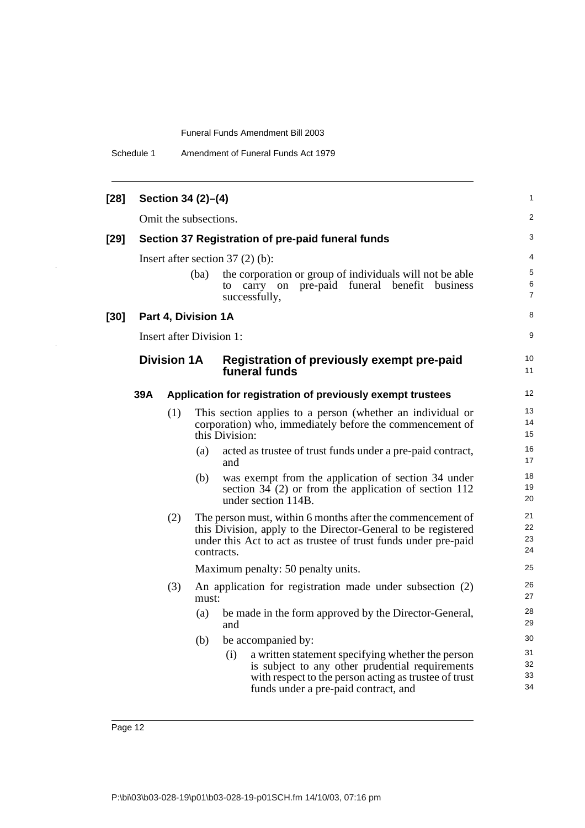Schedule 1 Amendment of Funeral Funds Act 1979

| $[28]$ |     | Section 34 (2)-(4)              |       |                                                                                                                                                                                                             | 1                        |
|--------|-----|---------------------------------|-------|-------------------------------------------------------------------------------------------------------------------------------------------------------------------------------------------------------------|--------------------------|
|        |     | Omit the subsections.           |       |                                                                                                                                                                                                             | 2                        |
| [29]   |     |                                 |       | Section 37 Registration of pre-paid funeral funds                                                                                                                                                           | 3                        |
|        |     |                                 |       | Insert after section $37(2)$ (b):                                                                                                                                                                           | 4                        |
|        |     |                                 | (ba)  | the corporation or group of individuals will not be able<br>carry on pre-paid funeral<br>benefit<br>business<br>to<br>successfully,                                                                         | 5<br>6<br>$\overline{7}$ |
| $[30]$ |     | Part 4, Division 1A             |       |                                                                                                                                                                                                             | 8                        |
|        |     | <b>Insert after Division 1:</b> |       |                                                                                                                                                                                                             | 9                        |
|        |     | <b>Division 1A</b>              |       | Registration of previously exempt pre-paid<br>funeral funds                                                                                                                                                 | 10<br>11                 |
|        | 39A |                                 |       | Application for registration of previously exempt trustees                                                                                                                                                  | $12 \overline{ }$        |
|        |     | (1)                             |       | This section applies to a person (whether an individual or<br>corporation) who, immediately before the commencement of<br>this Division:                                                                    | 13<br>14<br>15           |
|        |     |                                 | (a)   | acted as trustee of trust funds under a pre-paid contract,<br>and                                                                                                                                           | 16<br>17                 |
|        |     |                                 | (b)   | was exempt from the application of section 34 under<br>section 34 $(2)$ or from the application of section 112<br>under section 114B.                                                                       | 18<br>19<br>20           |
|        |     | (2)                             |       | The person must, within 6 months after the commencement of<br>this Division, apply to the Director-General to be registered<br>under this Act to act as trustee of trust funds under pre-paid<br>contracts. | 21<br>22<br>23<br>24     |
|        |     |                                 |       | Maximum penalty: 50 penalty units.                                                                                                                                                                          | 25                       |
|        |     | (3)                             | must: | An application for registration made under subsection (2)                                                                                                                                                   | 26<br>27                 |
|        |     |                                 | (a)   | be made in the form approved by the Director-General,<br>and                                                                                                                                                | 28<br>29                 |
|        |     |                                 | (b)   | be accompanied by:<br>(i)<br>a written statement specifying whether the person                                                                                                                              | 30<br>31                 |
|        |     |                                 |       | is subject to any other prudential requirements<br>with respect to the person acting as trustee of trust<br>funds under a pre-paid contract, and                                                            | 32<br>33<br>34           |

Page 12

 $\bar{z}$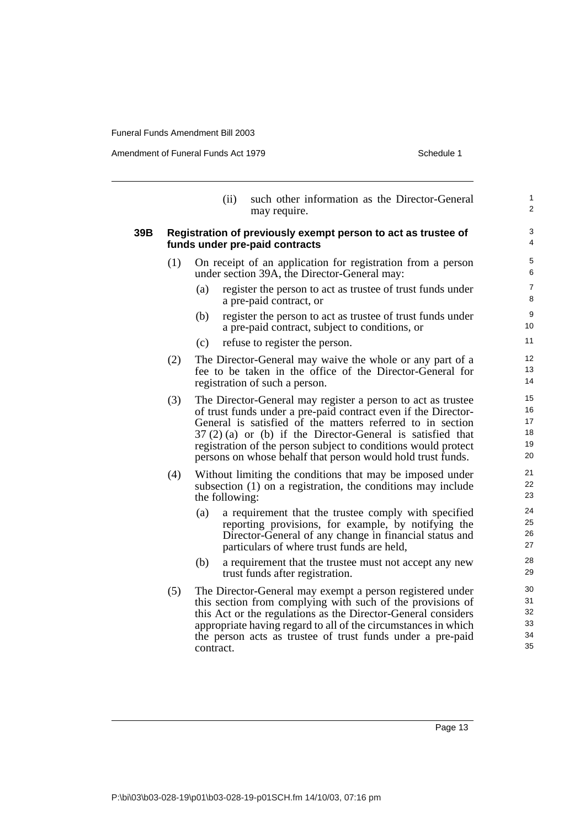Amendment of Funeral Funds Act 1979 Schedule 1

|     |     | (ii)<br>such other information as the Director-General<br>may require.                                                                                                                                                                                                                                                                                                                       | 1<br>2                           |
|-----|-----|----------------------------------------------------------------------------------------------------------------------------------------------------------------------------------------------------------------------------------------------------------------------------------------------------------------------------------------------------------------------------------------------|----------------------------------|
| 39B |     | Registration of previously exempt person to act as trustee of<br>funds under pre-paid contracts                                                                                                                                                                                                                                                                                              | 3<br>4                           |
|     | (1) | On receipt of an application for registration from a person<br>under section 39A, the Director-General may:                                                                                                                                                                                                                                                                                  | 5<br>6                           |
|     |     | (a)<br>register the person to act as trustee of trust funds under<br>a pre-paid contract, or                                                                                                                                                                                                                                                                                                 | 7<br>8                           |
|     |     | (b)<br>register the person to act as trustee of trust funds under<br>a pre-paid contract, subject to conditions, or                                                                                                                                                                                                                                                                          | 9<br>10                          |
|     |     | (c)<br>refuse to register the person.                                                                                                                                                                                                                                                                                                                                                        | 11                               |
|     | (2) | The Director-General may waive the whole or any part of a<br>fee to be taken in the office of the Director-General for<br>registration of such a person.                                                                                                                                                                                                                                     | 12<br>13<br>14                   |
|     | (3) | The Director-General may register a person to act as trustee<br>of trust funds under a pre-paid contract even if the Director-<br>General is satisfied of the matters referred to in section<br>$37(2)(a)$ or (b) if the Director-General is satisfied that<br>registration of the person subject to conditions would protect<br>persons on whose behalf that person would hold trust funds. | 15<br>16<br>17<br>18<br>19<br>20 |
|     | (4) | Without limiting the conditions that may be imposed under<br>subsection (1) on a registration, the conditions may include<br>the following:                                                                                                                                                                                                                                                  | 21<br>22<br>23                   |
|     |     | (a)<br>a requirement that the trustee comply with specified<br>reporting provisions, for example, by notifying the<br>Director-General of any change in financial status and<br>particulars of where trust funds are held,                                                                                                                                                                   | 24<br>25<br>26<br>27             |
|     |     | (b)<br>a requirement that the trustee must not accept any new<br>trust funds after registration.                                                                                                                                                                                                                                                                                             | 28<br>29                         |
|     | (5) | The Director-General may exempt a person registered under<br>this section from complying with such of the provisions of<br>this Act or the regulations as the Director-General considers<br>appropriate having regard to all of the circumstances in which<br>the person acts as trustee of trust funds under a pre-paid<br>contract.                                                        | 30<br>31<br>32<br>33<br>34<br>35 |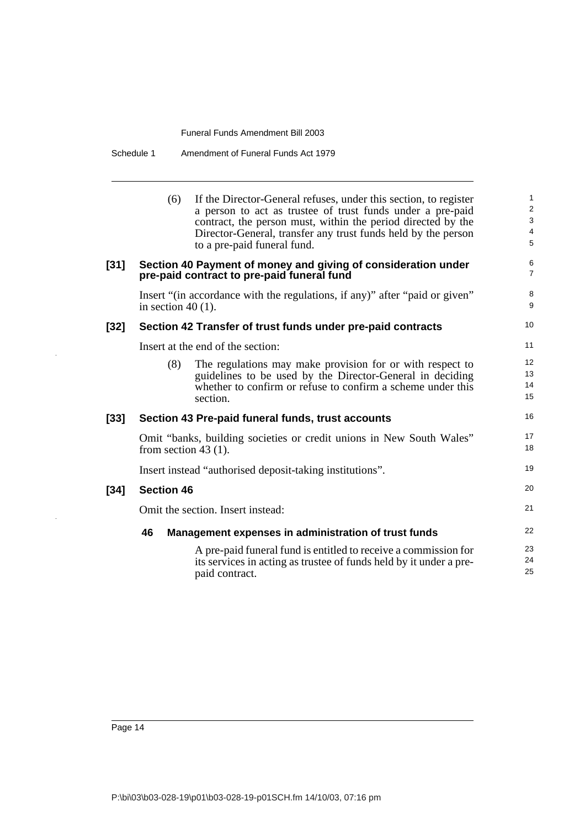Schedule 1 Amendment of Funeral Funds Act 1979

|      |                       | (6) | If the Director-General refuses, under this section, to register<br>a person to act as trustee of trust funds under a pre-paid<br>contract, the person must, within the period directed by the<br>Director-General, transfer any trust funds held by the person<br>to a pre-paid funeral fund. | $\mathbf{1}$<br>$\overline{2}$<br>$\mathbf{3}$<br>4<br>5 |
|------|-----------------------|-----|------------------------------------------------------------------------------------------------------------------------------------------------------------------------------------------------------------------------------------------------------------------------------------------------|----------------------------------------------------------|
| [31] |                       |     | Section 40 Payment of money and giving of consideration under<br>pre-paid contract to pre-paid funeral fund                                                                                                                                                                                    | 6<br>$\overline{7}$                                      |
|      | in section 40 $(1)$ . |     | Insert "(in accordance with the regulations, if any)" after "paid or given"                                                                                                                                                                                                                    | 8<br>9                                                   |
| [32] |                       |     | Section 42 Transfer of trust funds under pre-paid contracts                                                                                                                                                                                                                                    | 10                                                       |
|      |                       |     | Insert at the end of the section:                                                                                                                                                                                                                                                              | 11                                                       |
|      |                       | (8) | The regulations may make provision for or with respect to<br>guidelines to be used by the Director-General in deciding<br>whether to confirm or refuse to confirm a scheme under this<br>section.                                                                                              | 12 <sup>2</sup><br>13<br>14<br>15                        |
| [33] |                       |     | Section 43 Pre-paid funeral funds, trust accounts                                                                                                                                                                                                                                              | 16                                                       |
|      |                       |     | Omit "banks, building societies or credit unions in New South Wales"<br>from section 43 $(1)$ .                                                                                                                                                                                                | 17<br>18                                                 |
|      |                       |     | Insert instead "authorised deposit-taking institutions".                                                                                                                                                                                                                                       | 19                                                       |
| [34] | <b>Section 46</b>     |     |                                                                                                                                                                                                                                                                                                | 20                                                       |
|      |                       |     | Omit the section. Insert instead:                                                                                                                                                                                                                                                              | 21                                                       |
|      | 46                    |     | Management expenses in administration of trust funds                                                                                                                                                                                                                                           | 22                                                       |
|      |                       |     | A pre-paid funeral fund is entitled to receive a commission for<br>its services in acting as trustee of funds held by it under a pre-<br>paid contract.                                                                                                                                        | 23<br>24<br>25                                           |
|      |                       |     |                                                                                                                                                                                                                                                                                                |                                                          |

J.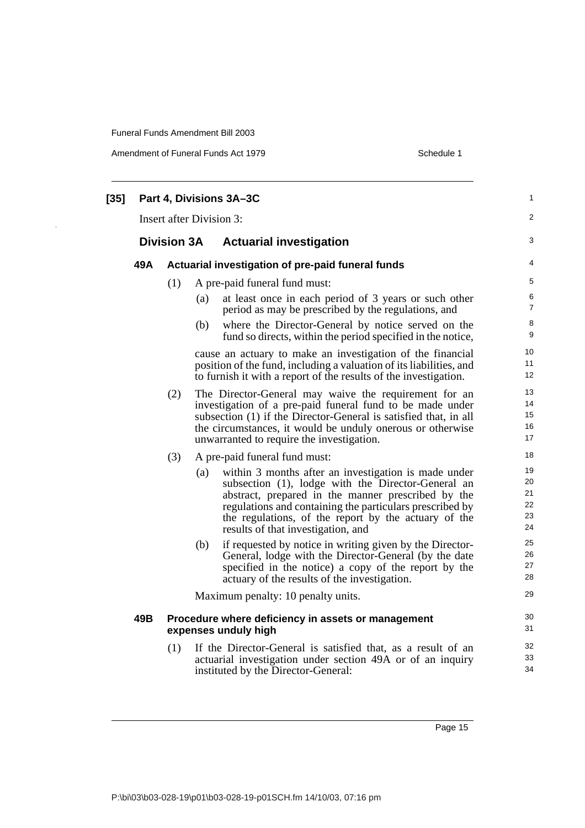Amendment of Funeral Funds Act 1979 Schedule 1

| [35] | Part 4, Divisions 3A-3C         |                                                                            |     |                                                                                                                                                                                                                                                                                                                            |                                  |  |
|------|---------------------------------|----------------------------------------------------------------------------|-----|----------------------------------------------------------------------------------------------------------------------------------------------------------------------------------------------------------------------------------------------------------------------------------------------------------------------------|----------------------------------|--|
|      | <b>Insert after Division 3:</b> |                                                                            |     |                                                                                                                                                                                                                                                                                                                            |                                  |  |
|      |                                 | <b>Division 3A</b>                                                         |     | <b>Actuarial investigation</b>                                                                                                                                                                                                                                                                                             | 3                                |  |
|      | 49A                             |                                                                            |     | Actuarial investigation of pre-paid funeral funds                                                                                                                                                                                                                                                                          | 4                                |  |
|      |                                 | (1)                                                                        |     | A pre-paid funeral fund must:                                                                                                                                                                                                                                                                                              | 5                                |  |
|      |                                 |                                                                            | (a) | at least once in each period of 3 years or such other<br>period as may be prescribed by the regulations, and                                                                                                                                                                                                               | 6<br>7                           |  |
|      |                                 |                                                                            | (b) | where the Director-General by notice served on the<br>fund so directs, within the period specified in the notice,                                                                                                                                                                                                          | 8<br>9                           |  |
|      |                                 |                                                                            |     | cause an actuary to make an investigation of the financial<br>position of the fund, including a valuation of its liabilities, and<br>to furnish it with a report of the results of the investigation.                                                                                                                      | 10<br>11<br>12                   |  |
|      |                                 | (2)                                                                        |     | The Director-General may waive the requirement for an<br>investigation of a pre-paid funeral fund to be made under<br>subsection (1) if the Director-General is satisfied that, in all<br>the circumstances, it would be unduly onerous or otherwise<br>unwarranted to require the investigation.                          | 13<br>14<br>15<br>16<br>17       |  |
|      |                                 | (3)                                                                        |     | A pre-paid funeral fund must:                                                                                                                                                                                                                                                                                              | 18                               |  |
|      |                                 |                                                                            | (a) | within 3 months after an investigation is made under<br>subsection (1), lodge with the Director-General an<br>abstract, prepared in the manner prescribed by the<br>regulations and containing the particulars prescribed by<br>the regulations, of the report by the actuary of the<br>results of that investigation, and | 19<br>20<br>21<br>22<br>23<br>24 |  |
|      |                                 |                                                                            | (b) | if requested by notice in writing given by the Director-<br>General, lodge with the Director-General (by the date<br>specified in the notice) a copy of the report by the<br>actuary of the results of the investigation.                                                                                                  | 25<br>26<br>27<br>28             |  |
|      |                                 |                                                                            |     | Maximum penalty: 10 penalty units.                                                                                                                                                                                                                                                                                         | 29                               |  |
|      | 49B                             | Procedure where deficiency in assets or management<br>expenses unduly high |     |                                                                                                                                                                                                                                                                                                                            |                                  |  |
|      |                                 | (1)                                                                        |     | If the Director-General is satisfied that, as a result of an<br>actuarial investigation under section 49A or of an inquiry<br>instituted by the Director-General:                                                                                                                                                          | 32<br>33<br>34                   |  |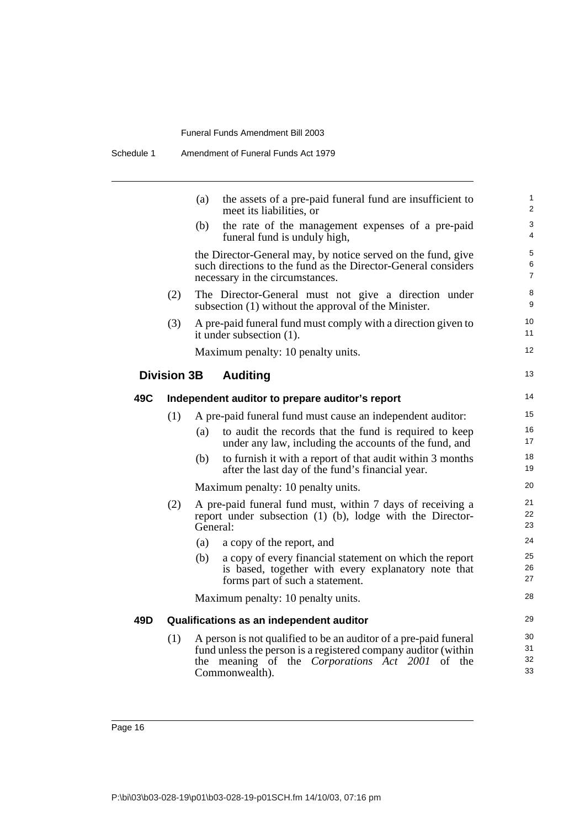|     |                    | (a)      | the assets of a pre-paid funeral fund are insufficient to<br>meet its liabilities, or                                                                                                                   | $\mathbf{1}$<br>2        |
|-----|--------------------|----------|---------------------------------------------------------------------------------------------------------------------------------------------------------------------------------------------------------|--------------------------|
|     |                    | (b)      | the rate of the management expenses of a pre-paid<br>funeral fund is unduly high,                                                                                                                       | 3<br>4                   |
|     |                    |          | the Director-General may, by notice served on the fund, give<br>such directions to the fund as the Director-General considers<br>necessary in the circumstances.                                        | 5<br>6<br>$\overline{7}$ |
|     | (2)                |          | The Director-General must not give a direction under<br>subsection (1) without the approval of the Minister.                                                                                            | 8<br>9                   |
|     | (3)                |          | A pre-paid funeral fund must comply with a direction given to<br>it under subsection $(1)$ .                                                                                                            | 10<br>11                 |
|     |                    |          | Maximum penalty: 10 penalty units.                                                                                                                                                                      | 12                       |
|     | <b>Division 3B</b> |          | <b>Auditing</b>                                                                                                                                                                                         | 13                       |
| 49C |                    |          | Independent auditor to prepare auditor's report                                                                                                                                                         | 14                       |
|     | (1)                |          | A pre-paid funeral fund must cause an independent auditor:                                                                                                                                              | 15                       |
|     |                    | (a)      | to audit the records that the fund is required to keep<br>under any law, including the accounts of the fund, and                                                                                        | 16<br>17                 |
|     |                    | (b)      | to furnish it with a report of that audit within 3 months<br>after the last day of the fund's financial year.                                                                                           | 18<br>19                 |
|     |                    |          | Maximum penalty: 10 penalty units.                                                                                                                                                                      | 20                       |
|     | (2)                | General: | A pre-paid funeral fund must, within 7 days of receiving a<br>report under subsection (1) (b), lodge with the Director-                                                                                 | 21<br>22<br>23           |
|     |                    | (a)      | a copy of the report, and                                                                                                                                                                               | 24                       |
|     |                    | (b)      | a copy of every financial statement on which the report<br>is based, together with every explanatory note that<br>forms part of such a statement.                                                       | 25<br>26<br>27           |
|     |                    |          | Maximum penalty: 10 penalty units.                                                                                                                                                                      | 28                       |
| 49D |                    |          | Qualifications as an independent auditor                                                                                                                                                                | 29                       |
|     | (1)                |          | A person is not qualified to be an auditor of a pre-paid funeral<br>fund unless the person is a registered company auditor (within<br>the meaning of the Corporations Act 2001 of the<br>Commonwealth). | 30<br>31<br>32<br>33     |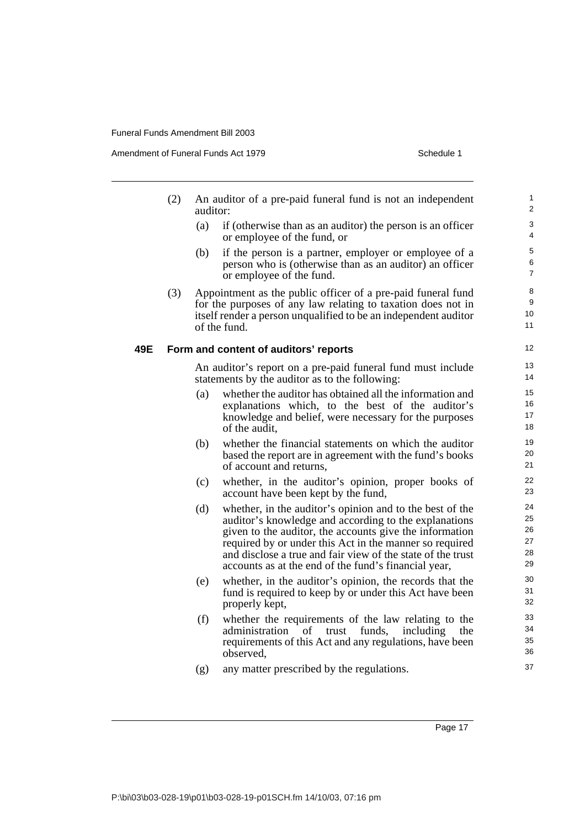Amendment of Funeral Funds Act 1979 Schedule 1

|     | (2) | auditor: | An auditor of a pre-paid funeral fund is not an independent                                                                                                                                                                                                                                                                                                    | 1<br>2                           |
|-----|-----|----------|----------------------------------------------------------------------------------------------------------------------------------------------------------------------------------------------------------------------------------------------------------------------------------------------------------------------------------------------------------------|----------------------------------|
|     |     | (a)      | if (otherwise than as an auditor) the person is an officer<br>or employee of the fund, or                                                                                                                                                                                                                                                                      | 3<br>4                           |
|     |     | (b)      | if the person is a partner, employer or employee of a<br>person who is (otherwise than as an auditor) an officer<br>or employee of the fund.                                                                                                                                                                                                                   | 5<br>6<br>$\overline{7}$         |
|     | (3) |          | Appointment as the public officer of a pre-paid funeral fund<br>for the purposes of any law relating to taxation does not in<br>itself render a person unqualified to be an independent auditor<br>of the fund.                                                                                                                                                | 8<br>9<br>10<br>11               |
| 49E |     |          | Form and content of auditors' reports                                                                                                                                                                                                                                                                                                                          | 12                               |
|     |     |          | An auditor's report on a pre-paid funeral fund must include<br>statements by the auditor as to the following:                                                                                                                                                                                                                                                  | 13<br>14                         |
|     |     | (a)      | whether the auditor has obtained all the information and<br>explanations which, to the best of the auditor's<br>knowledge and belief, were necessary for the purposes<br>of the audit,                                                                                                                                                                         | 15<br>16<br>17<br>18             |
|     |     | (b)      | whether the financial statements on which the auditor<br>based the report are in agreement with the fund's books<br>of account and returns,                                                                                                                                                                                                                    | 19<br>20<br>21                   |
|     |     | (c)      | whether, in the auditor's opinion, proper books of<br>account have been kept by the fund,                                                                                                                                                                                                                                                                      | 22<br>23                         |
|     |     | (d)      | whether, in the auditor's opinion and to the best of the<br>auditor's knowledge and according to the explanations<br>given to the auditor, the accounts give the information<br>required by or under this Act in the manner so required<br>and disclose a true and fair view of the state of the trust<br>accounts as at the end of the fund's financial year, | 24<br>25<br>26<br>27<br>28<br>29 |
|     |     | (e)      | whether, in the auditor's opinion, the records that the<br>fund is required to keep by or under this Act have been<br>properly kept,                                                                                                                                                                                                                           | 30<br>31<br>32                   |
|     |     | (f)      | whether the requirements of the law relating to the<br>funds,<br>administration<br>of trust<br>including<br>the<br>requirements of this Act and any regulations, have been<br>observed.                                                                                                                                                                        | 33<br>34<br>35<br>36             |
|     |     | (g)      | any matter prescribed by the regulations.                                                                                                                                                                                                                                                                                                                      | 37                               |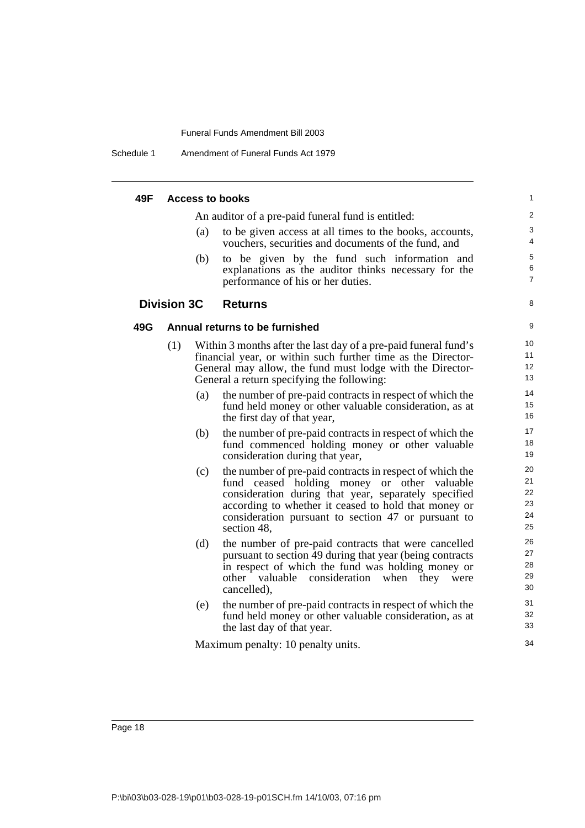Schedule 1 Amendment of Funeral Funds Act 1979

### **49F Access to books** An auditor of a pre-paid funeral fund is entitled: (a) to be given access at all times to the books, accounts, vouchers, securities and documents of the fund, and (b) to be given by the fund such information and explanations as the auditor thinks necessary for the performance of his or her duties. **Division 3C Returns 49G Annual returns to be furnished** (1) Within 3 months after the last day of a pre-paid funeral fund's financial year, or within such further time as the Director-General may allow, the fund must lodge with the Director-General a return specifying the following: (a) the number of pre-paid contracts in respect of which the fund held money or other valuable consideration, as at the first day of that year, (b) the number of pre-paid contracts in respect of which the fund commenced holding money or other valuable consideration during that year, (c) the number of pre-paid contracts in respect of which the fund ceased holding money or other valuable consideration during that year, separately specified according to whether it ceased to hold that money or consideration pursuant to section 47 or pursuant to section 48, (d) the number of pre-paid contracts that were cancelled pursuant to section 49 during that year (being contracts in respect of which the fund was holding money or other valuable consideration when they were cancelled), (e) the number of pre-paid contracts in respect of which the fund held money or other valuable consideration, as at the last day of that year. 1  $\mathcal{D}$ 3 4 5 6 7 8 9 10 11 12 13 14 15 16 17 18 19 20 21 22 23 24 25 26 27 28 29 30 31 32 33 34

Maximum penalty: 10 penalty units.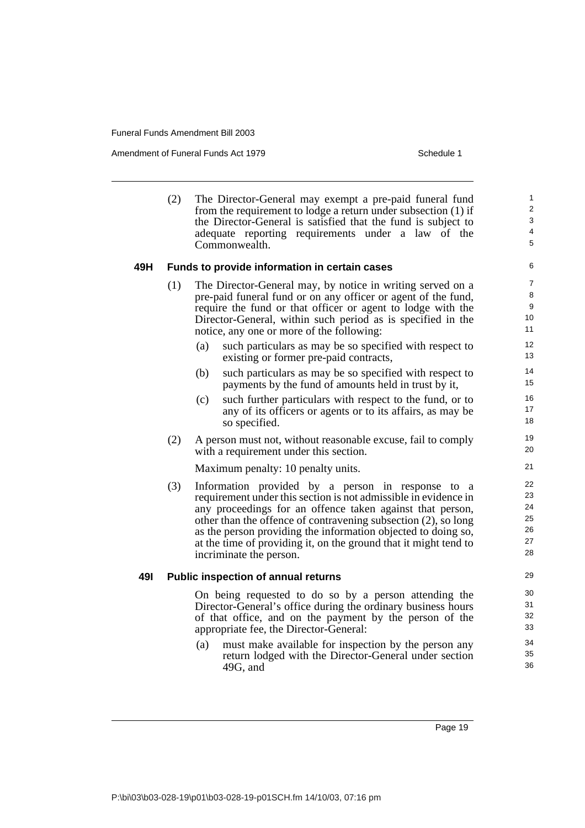Amendment of Funeral Funds Act 1979 Schedule 1

|     | (2) | The Director-General may exempt a pre-paid funeral fund<br>from the requirement to lodge a return under subsection (1) if<br>the Director-General is satisfied that the fund is subject to<br>adequate reporting requirements under a law of the<br>Commonwealth.                                                                                                                                                   | 1<br>$\overline{\mathbf{c}}$<br>3<br>4<br>5 |
|-----|-----|---------------------------------------------------------------------------------------------------------------------------------------------------------------------------------------------------------------------------------------------------------------------------------------------------------------------------------------------------------------------------------------------------------------------|---------------------------------------------|
| 49H |     | Funds to provide information in certain cases                                                                                                                                                                                                                                                                                                                                                                       | 6                                           |
|     | (1) | The Director-General may, by notice in writing served on a<br>pre-paid funeral fund or on any officer or agent of the fund,<br>require the fund or that officer or agent to lodge with the<br>Director-General, within such period as is specified in the<br>notice, any one or more of the following:<br>(a)<br>such particulars as may be so specified with respect to                                            | 7<br>8<br>9<br>10<br>11<br>12               |
|     |     | existing or former pre-paid contracts,<br>(b)<br>such particulars as may be so specified with respect to<br>payments by the fund of amounts held in trust by it,                                                                                                                                                                                                                                                    | 13<br>14<br>15                              |
|     |     | such further particulars with respect to the fund, or to<br>(c)<br>any of its officers or agents or to its affairs, as may be<br>so specified.                                                                                                                                                                                                                                                                      | 16<br>17<br>18                              |
|     | (2) | A person must not, without reasonable excuse, fail to comply<br>with a requirement under this section.                                                                                                                                                                                                                                                                                                              | 19<br>20                                    |
|     |     | Maximum penalty: 10 penalty units.                                                                                                                                                                                                                                                                                                                                                                                  | 21                                          |
|     | (3) | Information provided by a person in response to a<br>requirement under this section is not admissible in evidence in<br>any proceedings for an offence taken against that person,<br>other than the offence of contravening subsection (2), so long<br>as the person providing the information objected to doing so,<br>at the time of providing it, on the ground that it might tend to<br>incriminate the person. | 22<br>23<br>24<br>25<br>26<br>27<br>28      |
| 491 |     | <b>Public inspection of annual returns</b>                                                                                                                                                                                                                                                                                                                                                                          | 29                                          |
|     |     | On being requested to do so by a person attending the<br>Director-General's office during the ordinary business hours<br>of that office, and on the payment by the person of the<br>appropriate fee, the Director-General:                                                                                                                                                                                          | 30<br>31<br>32<br>33                        |
|     |     | must make available for inspection by the person any<br>(a)<br>return lodged with the Director-General under section<br>49G, and                                                                                                                                                                                                                                                                                    | 34<br>35<br>36                              |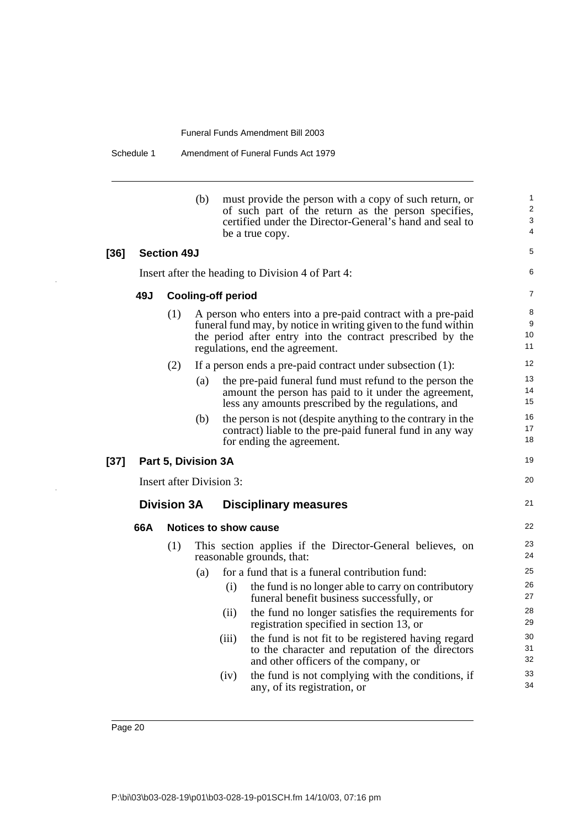Schedule 1 Amendment of Funeral Funds Act 1979

|        |                                 |                     | (b) | must provide the person with a copy of such return, or<br>of such part of the return as the person specifies,<br>certified under the Director-General's hand and seal to<br>be a true copy.                                      | 1<br>$\overline{\mathbf{c}}$<br>3<br>4 |  |  |
|--------|---------------------------------|---------------------|-----|----------------------------------------------------------------------------------------------------------------------------------------------------------------------------------------------------------------------------------|----------------------------------------|--|--|
| [36]   |                                 | <b>Section 49J</b>  |     |                                                                                                                                                                                                                                  | 5                                      |  |  |
|        |                                 |                     |     | Insert after the heading to Division 4 of Part 4:                                                                                                                                                                                | 6                                      |  |  |
|        | 49J                             |                     |     | <b>Cooling-off period</b>                                                                                                                                                                                                        | 7                                      |  |  |
|        |                                 | (1)                 |     | A person who enters into a pre-paid contract with a pre-paid<br>funeral fund may, by notice in writing given to the fund within<br>the period after entry into the contract prescribed by the<br>regulations, end the agreement. | 8<br>9<br>10<br>11                     |  |  |
|        |                                 | (2)                 |     | If a person ends a pre-paid contract under subsection $(1)$ :                                                                                                                                                                    | 12                                     |  |  |
|        |                                 |                     | (a) | the pre-paid funeral fund must refund to the person the<br>amount the person has paid to it under the agreement,<br>less any amounts prescribed by the regulations, and                                                          | 13<br>14<br>15                         |  |  |
|        |                                 |                     | (b) | the person is not (despite anything to the contrary in the<br>contract) liable to the pre-paid funeral fund in any way<br>for ending the agreement.                                                                              | 16<br>17<br>18                         |  |  |
| $[37]$ |                                 | Part 5, Division 3A |     |                                                                                                                                                                                                                                  | 19                                     |  |  |
|        | <b>Insert after Division 3:</b> |                     |     |                                                                                                                                                                                                                                  |                                        |  |  |
|        |                                 | <b>Division 3A</b>  |     | <b>Disciplinary measures</b>                                                                                                                                                                                                     | 21                                     |  |  |
|        | 66A                             |                     |     | <b>Notices to show cause</b>                                                                                                                                                                                                     | 22                                     |  |  |
|        |                                 | (1)                 |     | This section applies if the Director-General believes, on<br>reasonable grounds, that:                                                                                                                                           | 23<br>24                               |  |  |
|        |                                 |                     | (a) | for a fund that is a funeral contribution fund:                                                                                                                                                                                  | 25                                     |  |  |
|        |                                 |                     |     | (i)<br>the fund is no longer able to carry on contributory<br>funeral benefit business successfully, or                                                                                                                          | 26<br>27                               |  |  |
|        |                                 |                     |     | the fund no longer satisfies the requirements for<br>(ii)<br>registration specified in section 13, or                                                                                                                            | 28<br>29                               |  |  |
|        |                                 |                     |     | (iii)<br>the fund is not fit to be registered having regard<br>to the character and reputation of the directors<br>and other officers of the company, or                                                                         | 30<br>31<br>32                         |  |  |
|        |                                 |                     |     | the fund is not complying with the conditions, if<br>(iv)<br>any, of its registration, or                                                                                                                                        | 33<br>34                               |  |  |

i.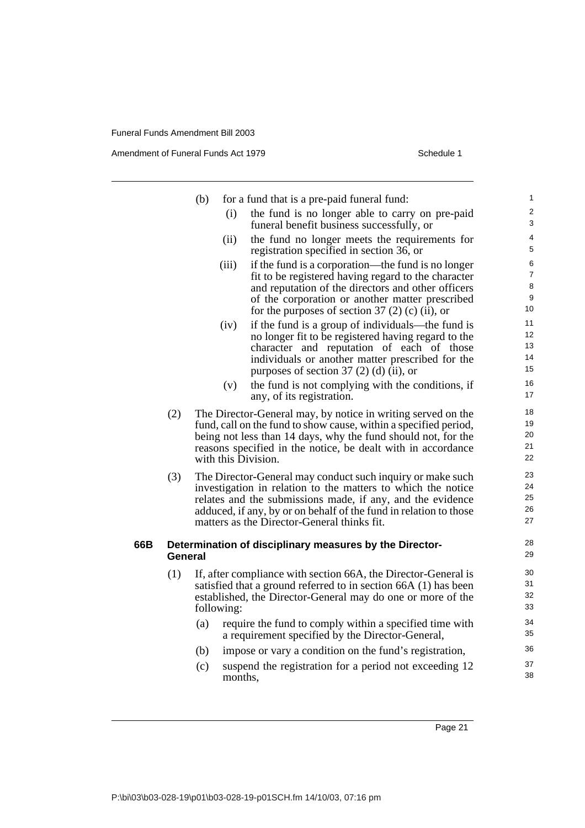Amendment of Funeral Funds Act 1979 Schedule 1

|     |         | (b) |            | for a fund that is a pre-paid funeral fund:                                                                                     | 1                |
|-----|---------|-----|------------|---------------------------------------------------------------------------------------------------------------------------------|------------------|
|     |         |     | (i)        | the fund is no longer able to carry on pre-paid                                                                                 | 2                |
|     |         |     |            | funeral benefit business successfully, or                                                                                       | 3                |
|     |         |     | (ii)       | the fund no longer meets the requirements for                                                                                   | 4                |
|     |         |     |            | registration specified in section 36, or                                                                                        | 5                |
|     |         |     | (iii)      | if the fund is a corporation—the fund is no longer                                                                              | $\,6$            |
|     |         |     |            | fit to be registered having regard to the character                                                                             | $\boldsymbol{7}$ |
|     |         |     |            | and reputation of the directors and other officers                                                                              | 8<br>9           |
|     |         |     |            | of the corporation or another matter prescribed<br>for the purposes of section 37 $(2)$ (c) (ii), or                            | 10               |
|     |         |     | (iv)       | if the fund is a group of individuals—the fund is                                                                               | 11               |
|     |         |     |            | no longer fit to be registered having regard to the                                                                             | 12               |
|     |         |     |            | character and reputation of each of those                                                                                       | 13               |
|     |         |     |            | individuals or another matter prescribed for the                                                                                | 14               |
|     |         |     |            | purposes of section 37 $(2)$ (d) (ii), or                                                                                       | 15               |
|     |         |     | (v)        | the fund is not complying with the conditions, if                                                                               | 16               |
|     |         |     |            | any, of its registration.                                                                                                       | 17               |
|     | (2)     |     |            | The Director-General may, by notice in writing served on the                                                                    | 18               |
|     |         |     |            | fund, call on the fund to show cause, within a specified period,                                                                | 19               |
|     |         |     |            | being not less than 14 days, why the fund should not, for the                                                                   | 20<br>21         |
|     |         |     |            | reasons specified in the notice, be dealt with in accordance<br>with this Division.                                             | 22               |
|     |         |     |            |                                                                                                                                 |                  |
|     | (3)     |     |            | The Director-General may conduct such inquiry or make such                                                                      | 23               |
|     |         |     |            | investigation in relation to the matters to which the notice                                                                    | 24<br>25         |
|     |         |     |            | relates and the submissions made, if any, and the evidence<br>adduced, if any, by or on behalf of the fund in relation to those | 26               |
|     |         |     |            | matters as the Director-General thinks fit.                                                                                     | 27               |
|     |         |     |            |                                                                                                                                 |                  |
| 66B | General |     |            | Determination of disciplinary measures by the Director-                                                                         | 28<br>29         |
|     | (1)     |     |            | If, after compliance with section 66A, the Director-General is                                                                  | 30               |
|     |         |     |            | satisfied that a ground referred to in section 66A (1) has been                                                                 | 31               |
|     |         |     |            | established, the Director-General may do one or more of the                                                                     | 32               |
|     |         |     | following: |                                                                                                                                 | 33               |
|     |         | (a) |            | require the fund to comply within a specified time with                                                                         | 34               |
|     |         |     |            | a requirement specified by the Director-General,                                                                                | 35               |
|     |         | (b) |            | impose or vary a condition on the fund's registration,                                                                          | 36               |
|     |         | (c) |            | suspend the registration for a period not exceeding 12                                                                          | 37               |

Page 21

38

months,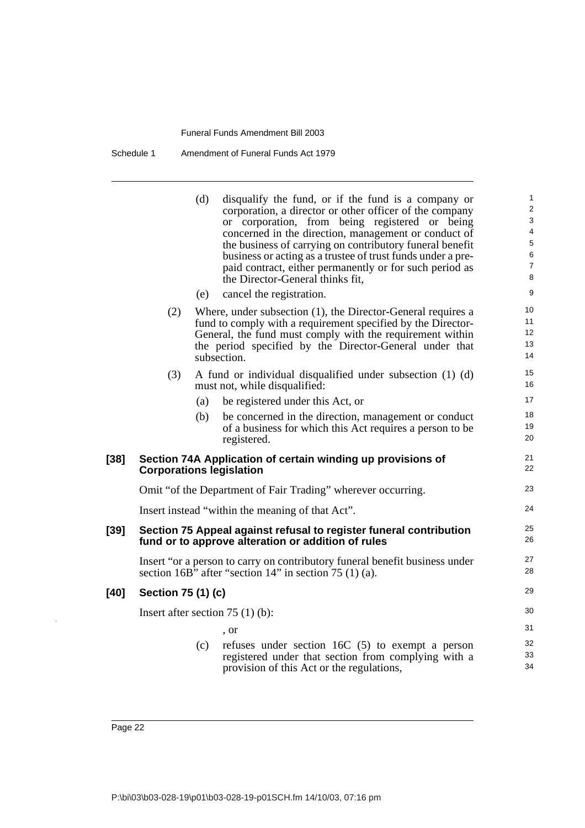### Schedule 1 Amendment of Funeral Funds Act 1979

|        |                                 | (d) | disqualify the fund, or if the fund is a company or<br>corporation, a director or other officer of the company<br>or corporation, from being registered or being<br>concerned in the direction, management or conduct of<br>the business of carrying on contributory funeral benefit<br>business or acting as a trustee of trust funds under a pre-<br>paid contract, either permanently or for such period as<br>the Director-General thinks fit, | 1<br>$\overline{2}$<br>3<br>4<br>5<br>6<br>$\overline{7}$<br>8 |
|--------|---------------------------------|-----|----------------------------------------------------------------------------------------------------------------------------------------------------------------------------------------------------------------------------------------------------------------------------------------------------------------------------------------------------------------------------------------------------------------------------------------------------|----------------------------------------------------------------|
|        |                                 | (e) | cancel the registration.                                                                                                                                                                                                                                                                                                                                                                                                                           | 9                                                              |
|        | (2)                             |     | Where, under subsection (1), the Director-General requires a<br>fund to comply with a requirement specified by the Director-<br>General, the fund must comply with the requirement within<br>the period specified by the Director-General under that<br>subsection.                                                                                                                                                                                | 10<br>11<br>12<br>13<br>14                                     |
|        | (3)                             |     | A fund or individual disqualified under subsection (1) (d)<br>must not, while disqualified:                                                                                                                                                                                                                                                                                                                                                        | 15<br>16                                                       |
|        |                                 | (a) | be registered under this Act, or                                                                                                                                                                                                                                                                                                                                                                                                                   | 17                                                             |
|        |                                 | (b) | be concerned in the direction, management or conduct<br>of a business for which this Act requires a person to be<br>registered.                                                                                                                                                                                                                                                                                                                    | 18<br>19<br>20                                                 |
| $[38]$ | <b>Corporations legislation</b> |     | Section 74A Application of certain winding up provisions of                                                                                                                                                                                                                                                                                                                                                                                        | 21<br>22                                                       |
|        |                                 |     | Omit "of the Department of Fair Trading" wherever occurring.                                                                                                                                                                                                                                                                                                                                                                                       | 23                                                             |
|        |                                 |     | Insert instead "within the meaning of that Act".                                                                                                                                                                                                                                                                                                                                                                                                   | 24                                                             |
| $[39]$ |                                 |     | Section 75 Appeal against refusal to register funeral contribution<br>fund or to approve alteration or addition of rules                                                                                                                                                                                                                                                                                                                           | 25<br>26                                                       |
|        |                                 |     | Insert "or a person to carry on contributory funeral benefit business under<br>section 16B" after "section 14" in section 75 (1) (a).                                                                                                                                                                                                                                                                                                              | 27<br>28                                                       |
| [40]   | Section 75 (1) (c)              |     |                                                                                                                                                                                                                                                                                                                                                                                                                                                    | 29                                                             |
|        |                                 |     | Insert after section $75(1)(b)$ :                                                                                                                                                                                                                                                                                                                                                                                                                  | 30                                                             |
|        |                                 |     | , or                                                                                                                                                                                                                                                                                                                                                                                                                                               | 31                                                             |
|        |                                 | (c) | refuses under section $16C(5)$ to exempt a person<br>registered under that section from complying with a<br>provision of this Act or the regulations,                                                                                                                                                                                                                                                                                              | 32<br>33<br>34                                                 |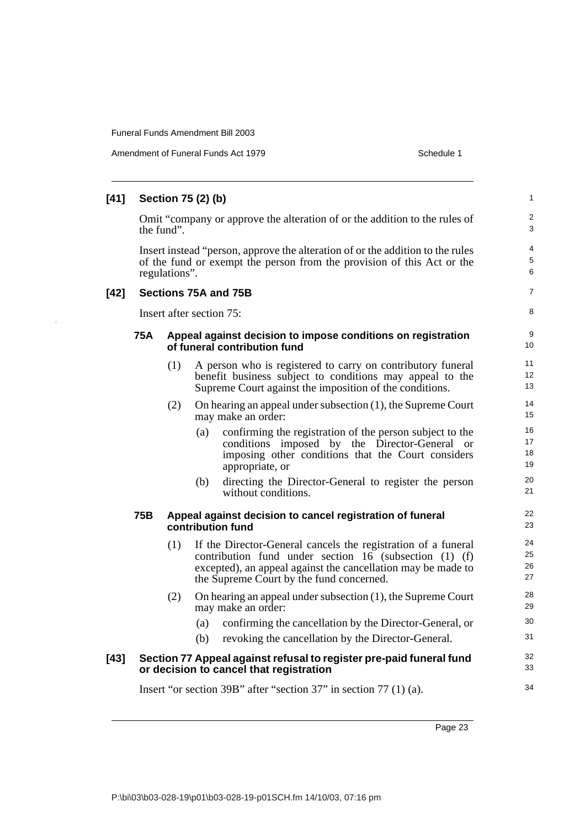| $[41]$ |            |                                                                                                                                                                           | Section 75 (2) (b)                                                                                                                                                                                                                  | 1                            |  |  |  |  |
|--------|------------|---------------------------------------------------------------------------------------------------------------------------------------------------------------------------|-------------------------------------------------------------------------------------------------------------------------------------------------------------------------------------------------------------------------------------|------------------------------|--|--|--|--|
|        |            | the fund".                                                                                                                                                                | Omit "company or approve the alteration of or the addition to the rules of                                                                                                                                                          | $\overline{\mathbf{c}}$<br>3 |  |  |  |  |
|        |            | Insert instead "person, approve the alteration of or the addition to the rules<br>of the fund or exempt the person from the provision of this Act or the<br>regulations". |                                                                                                                                                                                                                                     |                              |  |  |  |  |
| $[42]$ |            |                                                                                                                                                                           | Sections 75A and 75B                                                                                                                                                                                                                | 7                            |  |  |  |  |
|        |            |                                                                                                                                                                           | Insert after section 75:                                                                                                                                                                                                            | 8                            |  |  |  |  |
|        | <b>75A</b> |                                                                                                                                                                           | Appeal against decision to impose conditions on registration<br>of funeral contribution fund                                                                                                                                        | 9<br>10                      |  |  |  |  |
|        |            | (1)                                                                                                                                                                       | A person who is registered to carry on contributory funeral<br>benefit business subject to conditions may appeal to the<br>Supreme Court against the imposition of the conditions.                                                  | 11<br>12<br>13               |  |  |  |  |
|        |            | (2)                                                                                                                                                                       | On hearing an appeal under subsection (1), the Supreme Court<br>may make an order:                                                                                                                                                  | 14<br>15                     |  |  |  |  |
|        |            |                                                                                                                                                                           | confirming the registration of the person subject to the<br>(a)<br>conditions imposed by the Director-General or<br>imposing other conditions that the Court considers<br>appropriate, or                                           | 16<br>17<br>18<br>19         |  |  |  |  |
|        |            |                                                                                                                                                                           | directing the Director-General to register the person<br>(b)<br>without conditions.                                                                                                                                                 | 20<br>21                     |  |  |  |  |
|        | <b>75B</b> |                                                                                                                                                                           | Appeal against decision to cancel registration of funeral<br>contribution fund                                                                                                                                                      | 22<br>23                     |  |  |  |  |
|        |            | (1)                                                                                                                                                                       | If the Director-General cancels the registration of a funeral<br>contribution fund under section 16 (subsection (1) (f)<br>excepted), an appeal against the cancellation may be made to<br>the Supreme Court by the fund concerned. | 24<br>25<br>26<br>27         |  |  |  |  |
|        |            | (2)                                                                                                                                                                       | On hearing an appeal under subsection (1), the Supreme Court<br>may make an order:                                                                                                                                                  | 28<br>29                     |  |  |  |  |
|        |            |                                                                                                                                                                           | (a) confirming the cancellation by the Director-General, or<br>revoking the cancellation by the Director-General.<br>(b)                                                                                                            | 30<br>31                     |  |  |  |  |
| $[43]$ |            |                                                                                                                                                                           | Section 77 Appeal against refusal to register pre-paid funeral fund<br>or decision to cancel that registration                                                                                                                      | 32<br>33                     |  |  |  |  |
|        |            |                                                                                                                                                                           | Insert "or section 39B" after "section $37$ " in section $77$ (1) (a).                                                                                                                                                              | 34                           |  |  |  |  |
|        |            |                                                                                                                                                                           |                                                                                                                                                                                                                                     |                              |  |  |  |  |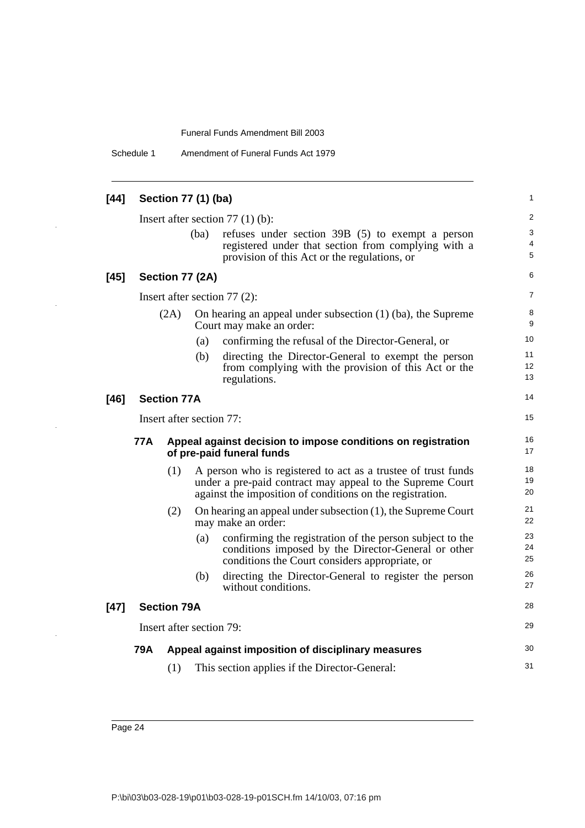Schedule 1 Amendment of Funeral Funds Act 1979

| [44]   | Section 77 (1) (ba)               |                    |                          |                                                                                                                                                                                         |                |  |
|--------|-----------------------------------|--------------------|--------------------------|-----------------------------------------------------------------------------------------------------------------------------------------------------------------------------------------|----------------|--|
|        | Insert after section $77(1)$ (b): |                    |                          |                                                                                                                                                                                         | 2              |  |
|        |                                   |                    | (ba)                     | refuses under section 39B (5) to exempt a person<br>registered under that section from complying with a<br>provision of this Act or the regulations, or                                 | 3<br>4<br>5    |  |
| $[45]$ |                                   |                    | Section 77 (2A)          |                                                                                                                                                                                         | 6              |  |
|        |                                   |                    |                          | Insert after section $77(2)$ :                                                                                                                                                          | 7              |  |
|        |                                   | (2A)               |                          | On hearing an appeal under subsection (1) (ba), the Supreme<br>Court may make an order:                                                                                                 | 8<br>9         |  |
|        |                                   |                    | (a)                      | confirming the refusal of the Director-General, or                                                                                                                                      | 10             |  |
|        |                                   |                    | (b)                      | directing the Director-General to exempt the person<br>from complying with the provision of this Act or the<br>regulations.                                                             | 11<br>12<br>13 |  |
| $[46]$ |                                   | <b>Section 77A</b> |                          |                                                                                                                                                                                         | 14             |  |
|        |                                   |                    | Insert after section 77: |                                                                                                                                                                                         | 15             |  |
|        | 77A                               |                    |                          | Appeal against decision to impose conditions on registration<br>of pre-paid funeral funds                                                                                               | 16<br>17       |  |
|        |                                   | (1)                |                          | A person who is registered to act as a trustee of trust funds<br>under a pre-paid contract may appeal to the Supreme Court<br>against the imposition of conditions on the registration. | 18<br>19<br>20 |  |
|        |                                   | (2)                |                          | On hearing an appeal under subsection (1), the Supreme Court<br>may make an order:                                                                                                      | 21<br>22       |  |
|        |                                   |                    | (a)                      | confirming the registration of the person subject to the<br>conditions imposed by the Director-General or other<br>conditions the Court considers appropriate, or                       | 23<br>24<br>25 |  |
|        |                                   |                    | (b)                      | directing the Director-General to register the person<br>without conditions.                                                                                                            | 26<br>27       |  |
| $[47]$ |                                   | <b>Section 79A</b> |                          |                                                                                                                                                                                         | 28             |  |
|        | Insert after section 79:          |                    |                          |                                                                                                                                                                                         |                |  |
|        | 79A                               |                    |                          | Appeal against imposition of disciplinary measures                                                                                                                                      | 30             |  |
|        |                                   | (1)                |                          | This section applies if the Director-General:                                                                                                                                           | 31             |  |
|        |                                   |                    |                          |                                                                                                                                                                                         |                |  |

Page 24

ý,

÷,

 $\ddot{\phantom{a}}$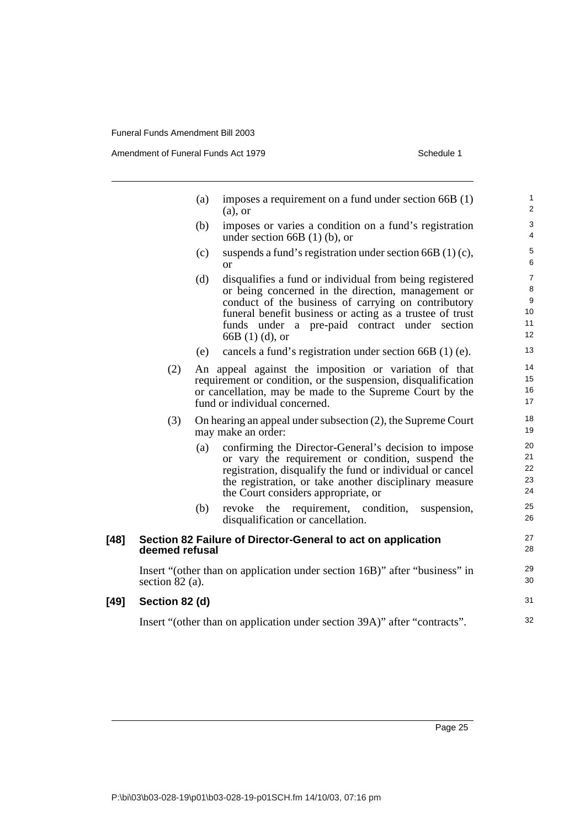Amendment of Funeral Funds Act 1979 Schedule 1

|      |                                                                                                 | (a) | imposes a requirement on a fund under section $66B(1)$<br>$(a)$ , or                                                                                                                                                                                                                                  | $\mathbf{1}$<br>$\overline{2}$             |  |  |
|------|-------------------------------------------------------------------------------------------------|-----|-------------------------------------------------------------------------------------------------------------------------------------------------------------------------------------------------------------------------------------------------------------------------------------------------------|--------------------------------------------|--|--|
|      |                                                                                                 | (b) | imposes or varies a condition on a fund's registration<br>under section $66B(1)$ (b), or                                                                                                                                                                                                              | 3<br>$\overline{4}$                        |  |  |
|      |                                                                                                 | (c) | suspends a fund's registration under section 66B $(1)(c)$ ,<br>$\alpha$                                                                                                                                                                                                                               | 5<br>6                                     |  |  |
|      |                                                                                                 | (d) | disqualifies a fund or individual from being registered<br>or being concerned in the direction, management or<br>conduct of the business of carrying on contributory<br>funeral benefit business or acting as a trustee of trust<br>funds under a pre-paid contract under section<br>$66B(1)(d)$ , or | $\overline{7}$<br>8<br>9<br>10<br>11<br>12 |  |  |
|      |                                                                                                 | (e) | cancels a fund's registration under section 66B $(1)$ (e).                                                                                                                                                                                                                                            | 13                                         |  |  |
|      | (2)                                                                                             |     | An appeal against the imposition or variation of that<br>requirement or condition, or the suspension, disqualification<br>or cancellation, may be made to the Supreme Court by the<br>fund or individual concerned.                                                                                   | 14<br>15<br>16<br>17                       |  |  |
|      | (3)                                                                                             |     | On hearing an appeal under subsection (2), the Supreme Court<br>may make an order:                                                                                                                                                                                                                    | 18<br>19                                   |  |  |
|      |                                                                                                 | (a) | confirming the Director-General's decision to impose<br>or vary the requirement or condition, suspend the<br>registration, disqualify the fund or individual or cancel<br>the registration, or take another disciplinary measure<br>the Court considers appropriate, or                               | 20<br>21<br>22<br>23<br>24                 |  |  |
|      |                                                                                                 | (b) | revoke the requirement, condition,<br>suspension,<br>disqualification or cancellation.                                                                                                                                                                                                                | 25<br>26                                   |  |  |
| [48] | deemed refusal                                                                                  |     | Section 82 Failure of Director-General to act on application                                                                                                                                                                                                                                          | 27<br>28                                   |  |  |
|      | Insert "(other than on application under section 16B)" after "business" in<br>section $82$ (a). |     |                                                                                                                                                                                                                                                                                                       |                                            |  |  |
| [49] | Section 82 (d)                                                                                  |     |                                                                                                                                                                                                                                                                                                       | 31                                         |  |  |
|      | 32<br>Insert "(other than on application under section 39A)" after "contracts".                 |     |                                                                                                                                                                                                                                                                                                       |                                            |  |  |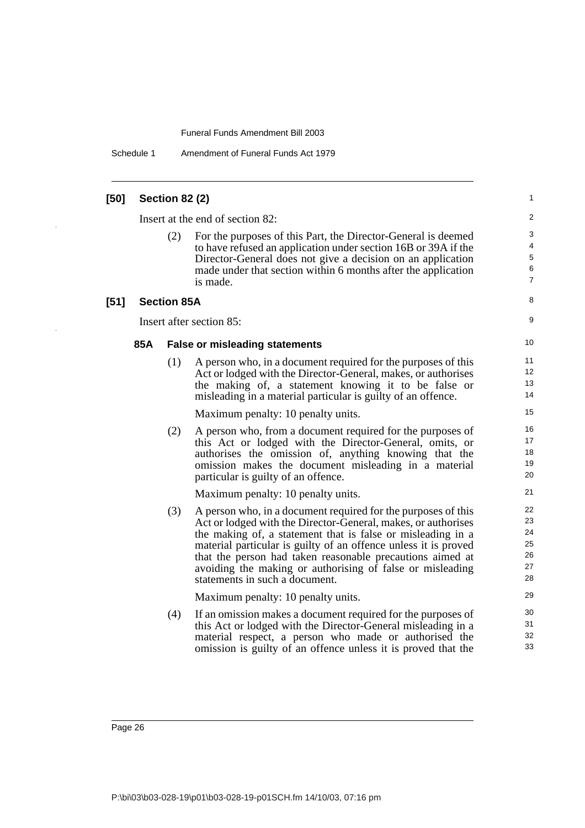Schedule 1 Amendment of Funeral Funds Act 1979

### **[50] Section 82 (2)**

Insert at the end of section 82:

(2) For the purposes of this Part, the Director-General is deemed to have refused an application under section 16B or 39A if the Director-General does not give a decision on an application made under that section within 6 months after the application is made.

8

9

### **[51] Section 85A**

Insert after section 85:

### **85A False or misleading statements**

(1) A person who, in a document required for the purposes of this Act or lodged with the Director-General, makes, or authorises the making of, a statement knowing it to be false or misleading in a material particular is guilty of an offence.

Maximum penalty: 10 penalty units.

(2) A person who, from a document required for the purposes of this Act or lodged with the Director-General, omits, or authorises the omission of, anything knowing that the omission makes the document misleading in a material particular is guilty of an offence.

Maximum penalty: 10 penalty units.

(3) A person who, in a document required for the purposes of this Act or lodged with the Director-General, makes, or authorises the making of, a statement that is false or misleading in a material particular is guilty of an offence unless it is proved that the person had taken reasonable precautions aimed at avoiding the making or authorising of false or misleading statements in such a document.

Maximum penalty: 10 penalty units.

(4) If an omission makes a document required for the purposes of this Act or lodged with the Director-General misleading in a material respect, a person who made or authorised the omission is guilty of an offence unless it is proved that the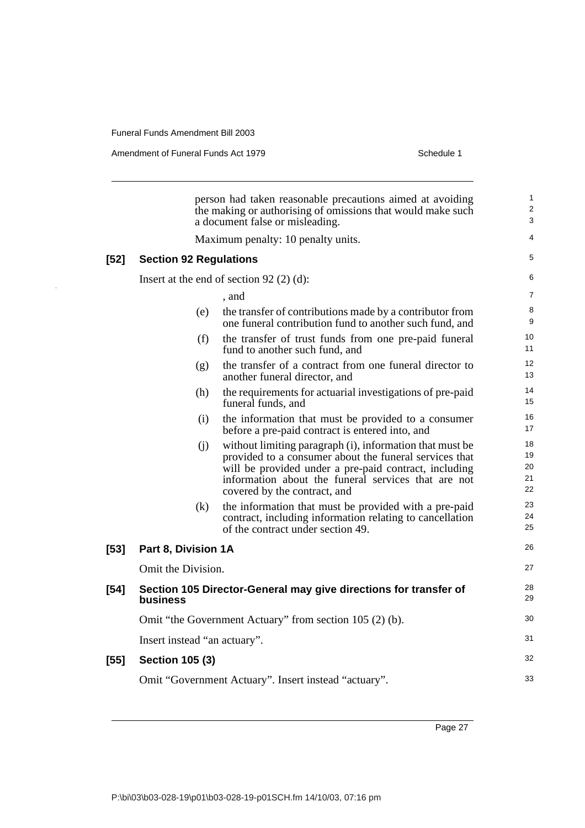$\overline{\phantom{a}}$ 

Amendment of Funeral Funds Act 1979 Schedule 1

|        |                               | person had taken reasonable precautions aimed at avoiding<br>the making or authorising of omissions that would make such<br>a document false or misleading.                                                                                                        | 1<br>2<br>3                |
|--------|-------------------------------|--------------------------------------------------------------------------------------------------------------------------------------------------------------------------------------------------------------------------------------------------------------------|----------------------------|
|        |                               | Maximum penalty: 10 penalty units.                                                                                                                                                                                                                                 | $\overline{4}$             |
| $[52]$ | <b>Section 92 Regulations</b> |                                                                                                                                                                                                                                                                    | 5                          |
|        |                               | Insert at the end of section 92 $(2)$ $(d)$ :                                                                                                                                                                                                                      | 6                          |
|        |                               | , and                                                                                                                                                                                                                                                              | $\overline{7}$             |
|        | (e)                           | the transfer of contributions made by a contributor from<br>one funeral contribution fund to another such fund, and                                                                                                                                                | 8<br>9                     |
|        | (f)                           | the transfer of trust funds from one pre-paid funeral<br>fund to another such fund, and                                                                                                                                                                            | 10 <sup>1</sup><br>11      |
|        | (g)                           | the transfer of a contract from one funeral director to<br>another funeral director, and                                                                                                                                                                           | 12 <sup>2</sup><br>13      |
|        | (h)                           | the requirements for actuarial investigations of pre-paid<br>funeral funds, and                                                                                                                                                                                    | 14<br>15                   |
|        | (i)                           | the information that must be provided to a consumer<br>before a pre-paid contract is entered into, and                                                                                                                                                             | 16<br>17                   |
|        | (i)                           | without limiting paragraph (i), information that must be<br>provided to a consumer about the funeral services that<br>will be provided under a pre-paid contract, including<br>information about the funeral services that are not<br>covered by the contract, and | 18<br>19<br>20<br>21<br>22 |
|        | (k)                           | the information that must be provided with a pre-paid<br>contract, including information relating to cancellation<br>of the contract under section 49.                                                                                                             | 23<br>24<br>25             |
| $[53]$ | Part 8, Division 1A           |                                                                                                                                                                                                                                                                    | 26                         |
|        | Omit the Division.            |                                                                                                                                                                                                                                                                    | 27                         |
| $[54]$ | business                      | Section 105 Director-General may give directions for transfer of                                                                                                                                                                                                   | 28<br>29                   |
|        |                               | Omit "the Government Actuary" from section 105 (2) (b).                                                                                                                                                                                                            | 30                         |
|        | Insert instead "an actuary".  |                                                                                                                                                                                                                                                                    | 31                         |
| $[55]$ | <b>Section 105 (3)</b>        |                                                                                                                                                                                                                                                                    | 32                         |
|        |                               | Omit "Government Actuary". Insert instead "actuary".                                                                                                                                                                                                               | 33                         |
|        |                               |                                                                                                                                                                                                                                                                    |                            |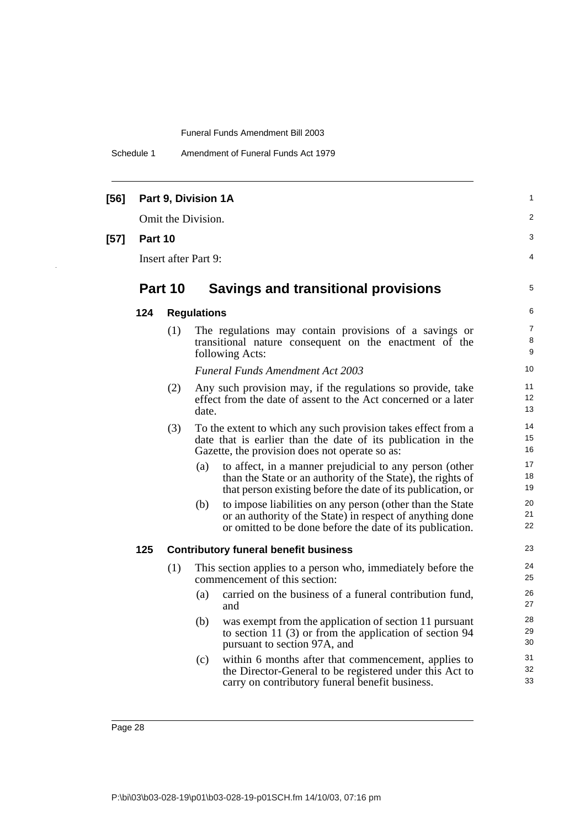Schedule 1 Amendment of Funeral Funds Act 1979

| [56] |                    | Part 9, Division 1A  |                                                                                               |                                                                                                                                                                                       | 1                        |  |
|------|--------------------|----------------------|-----------------------------------------------------------------------------------------------|---------------------------------------------------------------------------------------------------------------------------------------------------------------------------------------|--------------------------|--|
|      | Omit the Division. |                      |                                                                                               |                                                                                                                                                                                       |                          |  |
| [57] | Part 10            |                      |                                                                                               |                                                                                                                                                                                       | 3                        |  |
|      |                    | Insert after Part 9: |                                                                                               |                                                                                                                                                                                       | 4                        |  |
|      |                    | Part 10              |                                                                                               | <b>Savings and transitional provisions</b>                                                                                                                                            | 5                        |  |
|      | 124                |                      | <b>Regulations</b>                                                                            |                                                                                                                                                                                       | 6                        |  |
|      |                    | (1)                  |                                                                                               | The regulations may contain provisions of a savings or<br>transitional nature consequent on the enactment of the<br>following Acts:                                                   | $\overline{7}$<br>8<br>9 |  |
|      |                    |                      |                                                                                               | <b>Funeral Funds Amendment Act 2003</b>                                                                                                                                               | 10                       |  |
|      |                    | (2)                  | date.                                                                                         | Any such provision may, if the regulations so provide, take<br>effect from the date of assent to the Act concerned or a later                                                         | 11<br>12<br>13           |  |
|      |                    | (3)                  |                                                                                               | To the extent to which any such provision takes effect from a<br>date that is earlier than the date of its publication in the<br>Gazette, the provision does not operate so as:       | 14<br>15<br>16           |  |
|      |                    |                      | (a)                                                                                           | to affect, in a manner prejudicial to any person (other<br>than the State or an authority of the State), the rights of<br>that person existing before the date of its publication, or | 17<br>18<br>19           |  |
|      |                    |                      | (b)                                                                                           | to impose liabilities on any person (other than the State<br>or an authority of the State) in respect of anything done<br>or omitted to be done before the date of its publication.   | 20<br>21<br>22           |  |
|      | 125                |                      |                                                                                               | <b>Contributory funeral benefit business</b>                                                                                                                                          | 23                       |  |
|      |                    | (1)                  | This section applies to a person who, immediately before the<br>commencement of this section: |                                                                                                                                                                                       | 24<br>25                 |  |
|      |                    |                      | (a)                                                                                           | carried on the business of a funeral contribution fund,<br>and                                                                                                                        | 26<br>27                 |  |
|      |                    |                      | (b)                                                                                           | was exempt from the application of section 11 pursuant<br>to section 11 $(3)$ or from the application of section 94<br>pursuant to section 97A, and                                   | 28<br>29<br>30           |  |
|      |                    |                      | (c)                                                                                           | within 6 months after that commencement, applies to<br>the Director-General to be registered under this Act to<br>carry on contributory funeral benefit business.                     | 31<br>32<br>33           |  |
|      |                    |                      |                                                                                               |                                                                                                                                                                                       |                          |  |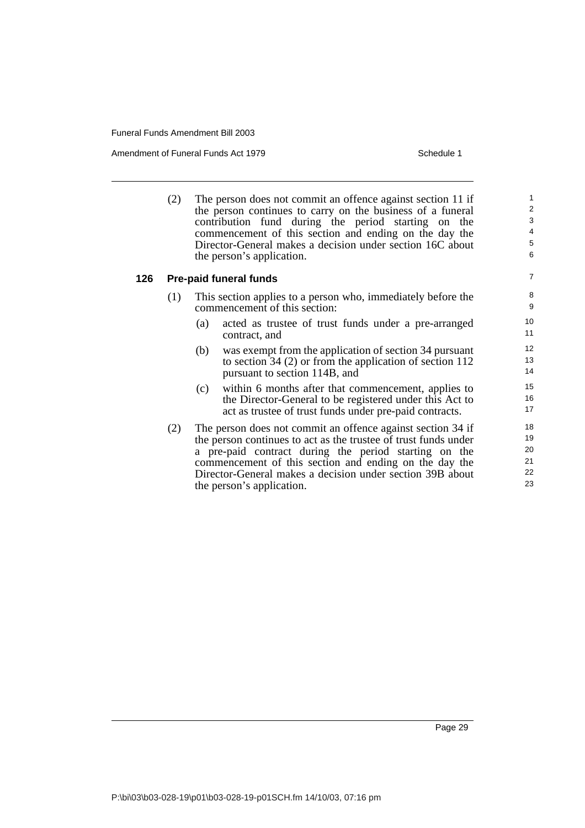Amendment of Funeral Funds Act 1979 Schedule 1

(2) The person does not commit an offence against section 11 if the person continues to carry on the business of a funeral contribution fund during the period starting on the commencement of this section and ending on the day the Director-General makes a decision under section 16C about the person's application.

### **126 Pre-paid funeral funds**

- (1) This section applies to a person who, immediately before the commencement of this section:
	- (a) acted as trustee of trust funds under a pre-arranged contract, and
	- (b) was exempt from the application of section 34 pursuant to section 34 (2) or from the application of section 112 pursuant to section 114B, and
	- (c) within 6 months after that commencement, applies to the Director-General to be registered under this Act to act as trustee of trust funds under pre-paid contracts.
- (2) The person does not commit an offence against section 34 if the person continues to act as the trustee of trust funds under a pre-paid contract during the period starting on the commencement of this section and ending on the day the Director-General makes a decision under section 39B about the person's application.